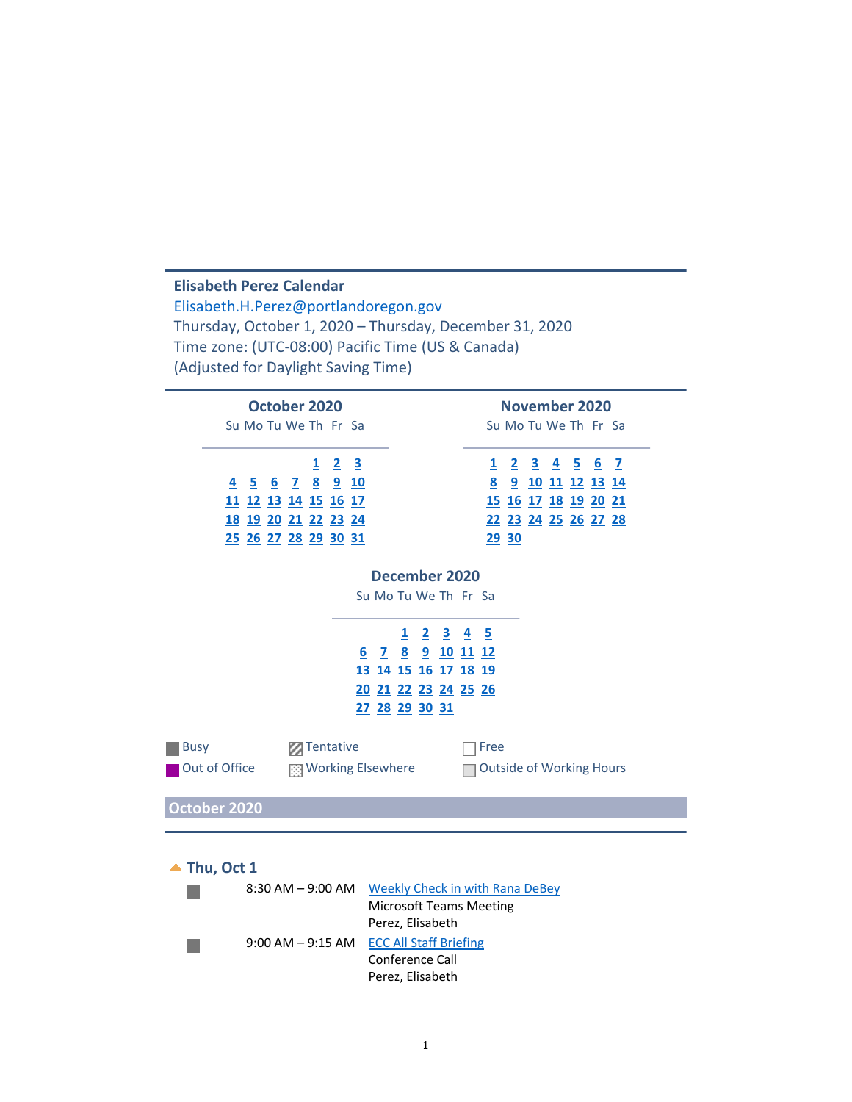### **Elisabeth Perez Calendar** Elisabeth.H.Perez@portlandoregon.gov Thursday, October 1, 2020 – Thursday, December 31, 2020 Time zone: (UTC‐08:00) Pacific Time (US & Canada) (Adjusted for Daylight Saving Time) **October 2020 November 2020** Su Mo Tu We Th Fr Sa Su Mo Tu We Th Fr Sa **1 2 3 1 2 3 4 5 6 7 4 5 6 7 8 9 10 8 9 10 11 12 13 14 11 12 13 14 15 16 17 15 16 17 18 19 20 21 18 19 20 21 22 23 24 22 23 24 25 26 27 28 25 26 27 28 29 30 31 29 30 December 2020** Su Mo Tu We Th Fr Sa **1 2 3 4 5 6 7 8 9 10 11 12 13 14 15 16 17 18 19 20 21 22 23 24 25 26 27 28 29 30 31** ■Busy Tentative Free ■ Out of Office **All Music Working Elsewhere** △ ○ Outside of Working Hours **October 2020 Thu, Oct 1** 8:30 AM - 9:00 AM Weekly Check in with Rana DeBey  $\mathcal{O}(\mathcal{A})$ Microsoft Teams Meeting Perez, Elisabeth 9:00 AM – 9:15 AM ECC All Staff Briefing Conference Call Perez, Elisabeth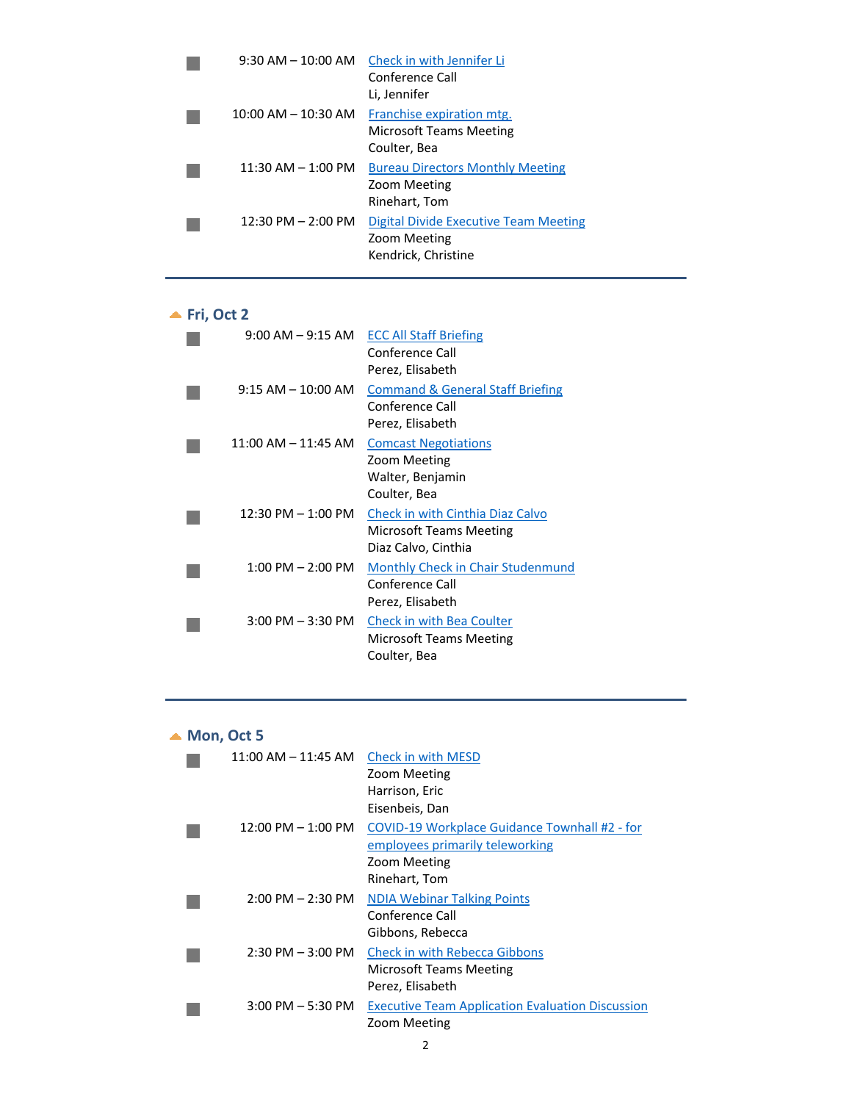| $9:30$ AM $- 10:00$ AM  | Check in with Jennifer Li<br>Conference Call<br>Li, Jennifer                 |
|-------------------------|------------------------------------------------------------------------------|
| $10:00$ AM $- 10:30$ AM | Franchise expiration mtg.<br>Microsoft Teams Meeting<br>Coulter, Bea         |
| $11:30$ AM $- 1:00$ PM  | <b>Bureau Directors Monthly Meeting</b><br>Zoom Meeting<br>Rinehart, Tom     |
| $12:30$ PM $- 2:00$ PM  | Digital Divide Executive Team Meeting<br>Zoom Meeting<br>Kendrick, Christine |

# **Fri, Oct 2**

| $9:00$ AM $ 9:15$ AM    | <b>ECC All Staff Briefing</b><br>Conference Call<br>Perez, Elisabeth                      |
|-------------------------|-------------------------------------------------------------------------------------------|
| $9:15$ AM $-$ 10:00 AM  | <b>Command &amp; General Staff Briefing</b><br>Conference Call<br>Perez, Elisabeth        |
| $11:00$ AM $- 11:45$ AM | <b>Comcast Negotiations</b><br>Zoom Meeting<br>Walter, Benjamin<br>Coulter, Bea           |
| $12:30$ PM $-1:00$ PM   | Check in with Cinthia Diaz Calvo<br><b>Microsoft Teams Meeting</b><br>Diaz Calvo, Cinthia |
| $1:00$ PM $- 2:00$ PM   | Monthly Check in Chair Studenmund<br>Conference Call<br>Perez, Elisabeth                  |
| $3:00$ PM $-3:30$ PM    | Check in with Bea Coulter<br>Microsoft Teams Meeting<br>Coulter, Bea                      |

## ▲ **Mon, Oct 5**

| $11:00$ AM $- 11:45$ AM | Check in with MESD                                      |
|-------------------------|---------------------------------------------------------|
|                         | Zoom Meeting                                            |
|                         | Harrison, Eric                                          |
|                         | Eisenbeis, Dan                                          |
| $12:00$ PM $-1:00$ PM   | COVID-19 Workplace Guidance Townhall #2 - for           |
|                         | employees primarily teleworking                         |
|                         | Zoom Meeting                                            |
|                         | Rinehart, Tom                                           |
| $2:00$ PM $- 2:30$ PM   | <b>NDIA Webinar Talking Points</b>                      |
|                         | Conference Call                                         |
|                         | Gibbons, Rebecca                                        |
| $2:30$ PM $-3:00$ PM    | <b>Check in with Rebecca Gibbons</b>                    |
|                         | Microsoft Teams Meeting                                 |
|                         | Perez, Elisabeth                                        |
| $3:00$ PM $-5:30$ PM    | <b>Executive Team Application Evaluation Discussion</b> |
|                         | Zoom Meeting                                            |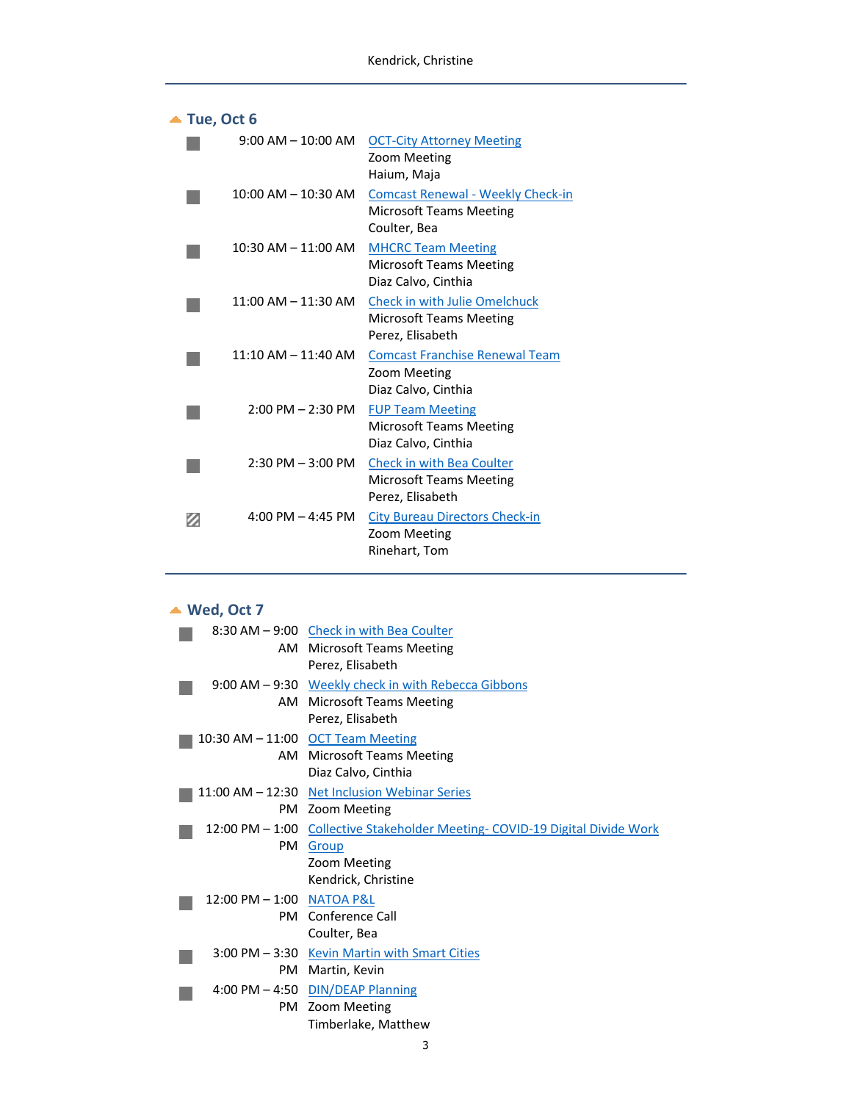|   | Tue, Oct 6                          |                                                                                            |
|---|-------------------------------------|--------------------------------------------------------------------------------------------|
|   | $9:00$ AM $- 10:00$ AM              | <b>OCT-City Attorney Meeting</b><br>Zoom Meeting<br>Haium, Maja                            |
|   | $10:00$ AM $- 10:30$ AM             | <b>Comcast Renewal - Weekly Check-in</b><br><b>Microsoft Teams Meeting</b><br>Coulter, Bea |
|   | $10:30$ AM $- 11:00$ AM             | <b>MHCRC Team Meeting</b><br><b>Microsoft Teams Meeting</b><br>Diaz Calvo, Cinthia         |
|   | $11:00$ AM $- 11:30$ AM             | <b>Check in with Julie Omelchuck</b><br><b>Microsoft Teams Meeting</b><br>Perez, Elisabeth |
|   | $11:10$ AM $- 11:40$ AM             | <b>Comcast Franchise Renewal Team</b><br>Zoom Meeting<br>Diaz Calvo, Cinthia               |
|   | $2:00$ PM $- 2:30$ PM               | <b>FUP Team Meeting</b><br><b>Microsoft Teams Meeting</b><br>Diaz Calvo, Cinthia           |
|   | $2:30$ PM $-3:00$ PM                | <b>Check in with Bea Coulter</b><br><b>Microsoft Teams Meeting</b><br>Perez, Elisabeth     |
| Ø | $4:00 \text{ PM} - 4:45 \text{ PM}$ | <b>City Bureau Directors Check-in</b><br>Zoom Meeting<br>Rinehart, Tom                     |
|   |                                     |                                                                                            |

# **Wed, Oct 7**

|                           | 8:30 AM – 9:00 Check in with Bea Coulter                                     |
|---------------------------|------------------------------------------------------------------------------|
|                           | AM Microsoft Teams Meeting                                                   |
|                           | Perez, Elisabeth                                                             |
|                           | 9:00 AM – 9:30 Weekly check in with Rebecca Gibbons                          |
|                           | AM Microsoft Teams Meeting                                                   |
|                           | Perez, Elisabeth                                                             |
|                           | 10:30 AM - 11:00 OCT Team Meeting                                            |
|                           | AM Microsoft Teams Meeting                                                   |
|                           | Diaz Calvo, Cinthia                                                          |
|                           | 11:00 AM - 12:30 Net Inclusion Webinar Series                                |
|                           | PM Zoom Meeting                                                              |
|                           | 12:00 PM - 1:00 Collective Stakeholder Meeting- COVID-19 Digital Divide Work |
| PM                        | Group                                                                        |
|                           | Zoom Meeting                                                                 |
|                           | Kendrick, Christine                                                          |
| 12:00 PM - 1:00 NATOA P&L |                                                                              |
|                           | <b>PM</b> Conference Call                                                    |
|                           | Coulter, Bea                                                                 |
|                           | 3:00 PM - 3:30 Kevin Martin with Smart Cities                                |
| PM                        | Martin, Kevin                                                                |
|                           | 4:00 PM - 4:50 DIN/DEAP Planning                                             |
|                           | PM Zoom Meeting                                                              |
|                           | Timberlake, Matthew                                                          |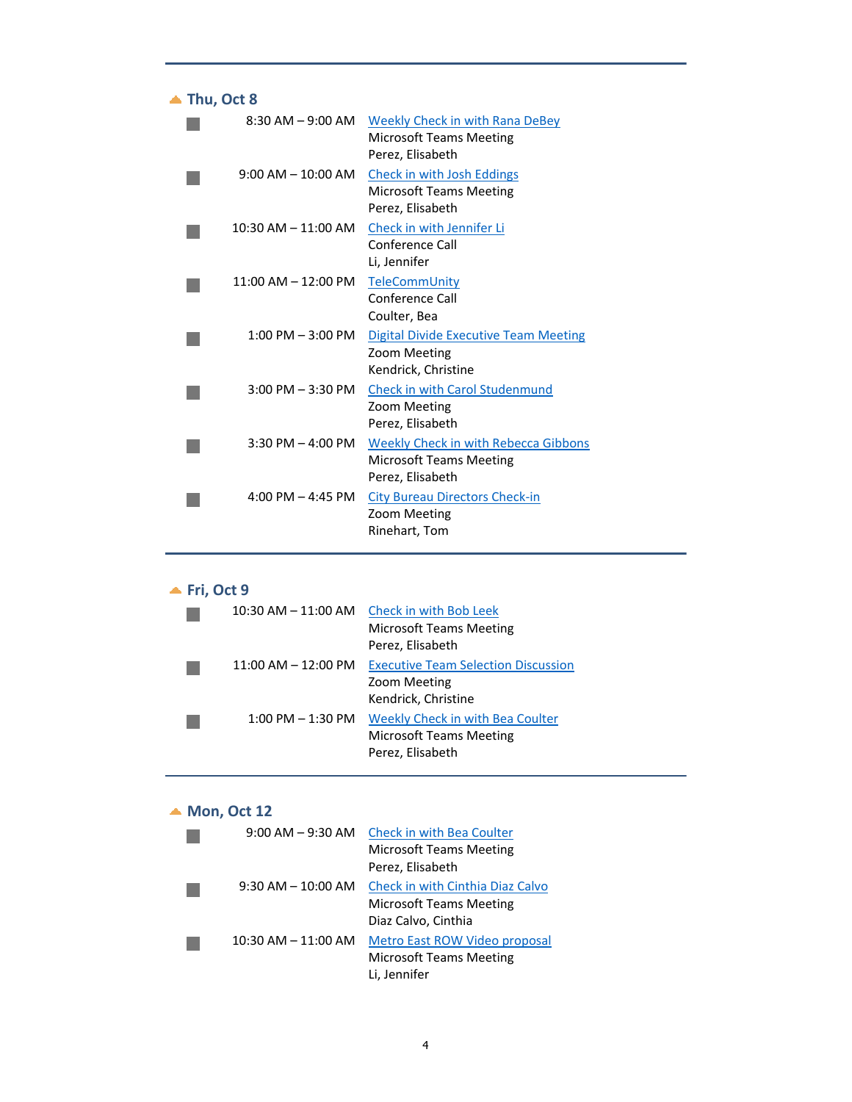| Thu, Oct 8 |                         |                                                                                                   |
|------------|-------------------------|---------------------------------------------------------------------------------------------------|
|            | $8:30$ AM $-$ 9:00 AM   | Weekly Check in with Rana DeBey<br><b>Microsoft Teams Meeting</b><br>Perez, Elisabeth             |
|            | $9:00$ AM $-$ 10:00 AM  | Check in with Josh Eddings<br><b>Microsoft Teams Meeting</b><br>Perez, Elisabeth                  |
|            | $10:30$ AM $- 11:00$ AM | Check in with Jennifer Li<br>Conference Call<br>Li, Jennifer                                      |
|            | $11:00$ AM $-12:00$ PM  | TeleCommUnity<br>Conference Call<br>Coulter, Bea                                                  |
|            | $1:00$ PM $-3:00$ PM    | <b>Digital Divide Executive Team Meeting</b><br>Zoom Meeting<br>Kendrick, Christine               |
|            | $3:00$ PM $-3:30$ PM    | <b>Check in with Carol Studenmund</b><br>Zoom Meeting<br>Perez, Elisabeth                         |
|            | $3:30$ PM $-$ 4:00 PM   | <b>Weekly Check in with Rebecca Gibbons</b><br><b>Microsoft Teams Meeting</b><br>Perez, Elisabeth |
|            | $4:00$ PM $- 4:45$ PM   | <b>City Bureau Directors Check-in</b><br>Zoom Meeting<br>Rinehart, Tom                            |
|            |                         |                                                                                                   |

|  |  | Fri. Oct |  |
|--|--|----------|--|
|--|--|----------|--|

|                         | 10:30 AM – 11:00 AM Check in with Bob Leek<br><b>Microsoft Teams Meeting</b><br>Perez, Elisabeth |
|-------------------------|--------------------------------------------------------------------------------------------------|
| $11:00$ AM $- 12:00$ PM | <b>Executive Team Selection Discussion</b><br>Zoom Meeting<br>Kendrick, Christine                |
| $1:00$ PM $-1:30$ PM    | Weekly Check in with Bea Coulter<br><b>Microsoft Teams Meeting</b><br>Perez, Elisabeth           |

# ▲ **Mon, Oct** 12

| $9:00$ AM $-9:30$ AM    | <b>Check in with Bea Coulter</b>     |
|-------------------------|--------------------------------------|
|                         | <b>Microsoft Teams Meeting</b>       |
|                         | Perez, Elisabeth                     |
| $9:30$ AM $- 10:00$ AM  | Check in with Cinthia Diaz Calvo     |
|                         | <b>Microsoft Teams Meeting</b>       |
|                         | Diaz Calvo, Cinthia                  |
| $10:30$ AM $- 11:00$ AM | <b>Metro East ROW Video proposal</b> |
|                         | <b>Microsoft Teams Meeting</b>       |
|                         | Li, Jennifer                         |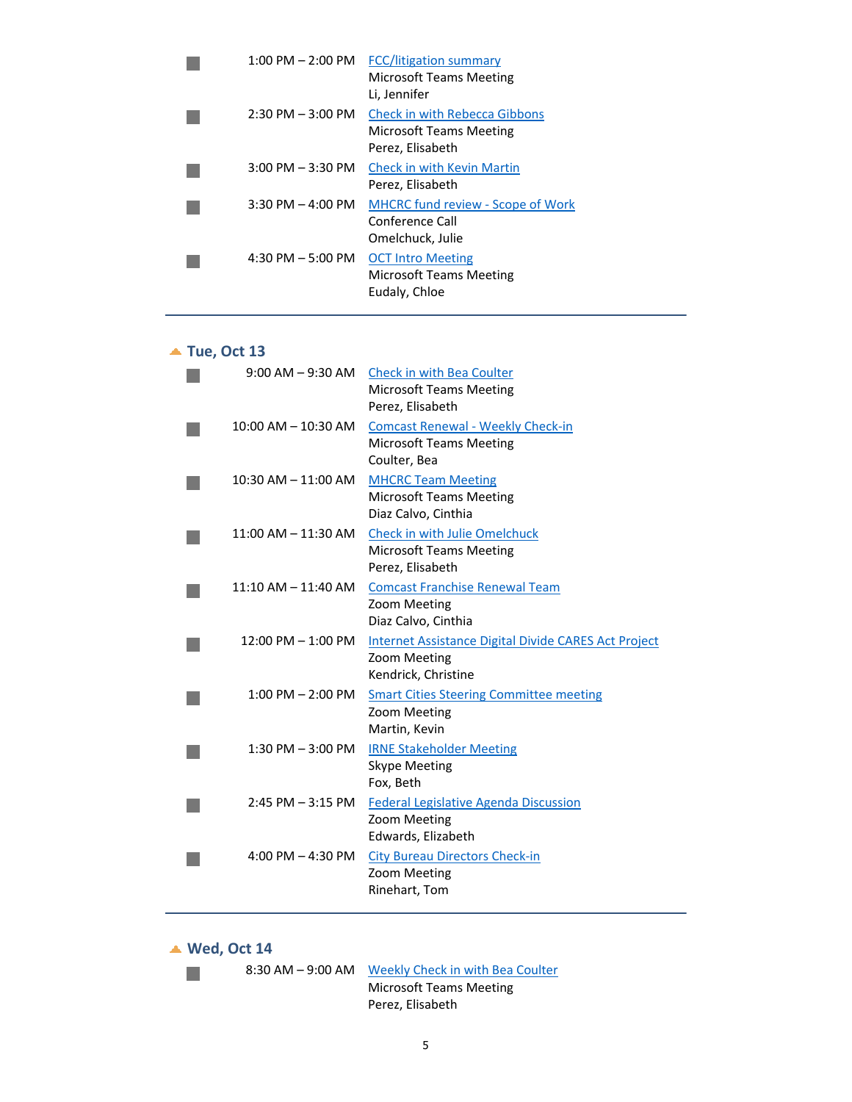| $1:00$ PM $- 2:00$ PM | <b>FCC/litigation summary</b><br>Microsoft Teams Meeting<br>Li, Jennifer                   |
|-----------------------|--------------------------------------------------------------------------------------------|
| $2:30$ PM $-3:00$ PM  | <b>Check in with Rebecca Gibbons</b><br><b>Microsoft Teams Meeting</b><br>Perez, Elisabeth |
| $3:00$ PM $-3:30$ PM  | <b>Check in with Kevin Martin</b><br>Perez, Elisabeth                                      |
| $3:30$ PM $-$ 4:00 PM | <b>MHCRC fund review - Scope of Work</b><br>Conference Call<br>Omelchuck, Julie            |
| 4:30 PM $-$ 5:00 PM   | <b>OCT Intro Meeting</b><br>Microsoft Teams Meeting<br>Eudaly, Chloe                       |

## **Tue, Oct 13**

| $9:00$ AM $-9:30$ AM    | Check in with Bea Coulter<br><b>Microsoft Teams Meeting</b><br>Perez, Elisabeth             |
|-------------------------|---------------------------------------------------------------------------------------------|
| $10:00$ AM $- 10:30$ AM | <b>Comcast Renewal - Weekly Check-in</b><br><b>Microsoft Teams Meeting</b><br>Coulter, Bea  |
| $10:30$ AM $- 11:00$ AM | <b>MHCRC Team Meeting</b><br><b>Microsoft Teams Meeting</b><br>Diaz Calvo, Cinthia          |
| $11:00$ AM $- 11:30$ AM | Check in with Julie Omelchuck<br><b>Microsoft Teams Meeting</b><br>Perez, Elisabeth         |
| 11:10 AM - 11:40 AM     | <b>Comcast Franchise Renewal Team</b><br>Zoom Meeting<br>Diaz Calvo, Cinthia                |
| $12:00$ PM $- 1:00$ PM  | Internet Assistance Digital Divide CARES Act Project<br>Zoom Meeting<br>Kendrick, Christine |
| $1:00$ PM $- 2:00$ PM   | <b>Smart Cities Steering Committee meeting</b><br>Zoom Meeting<br>Martin, Kevin             |
| $1:30$ PM $-3:00$ PM    | <b>IRNE Stakeholder Meeting</b><br><b>Skype Meeting</b><br>Fox, Beth                        |
| $2:45$ PM $-3:15$ PM    | <b>Federal Legislative Agenda Discussion</b><br>Zoom Meeting<br>Edwards, Elizabeth          |
| 4:00 PM $-$ 4:30 PM     | <b>City Bureau Directors Check-in</b><br>Zoom Meeting<br>Rinehart, Tom                      |

**Wed, Oct 14**

 $\mathcal{O}(\mathcal{A})$ 

8:30 AM – 9:00 AM Weekly Check in with Bea Coulter Microsoft Teams Meeting Perez, Elisabeth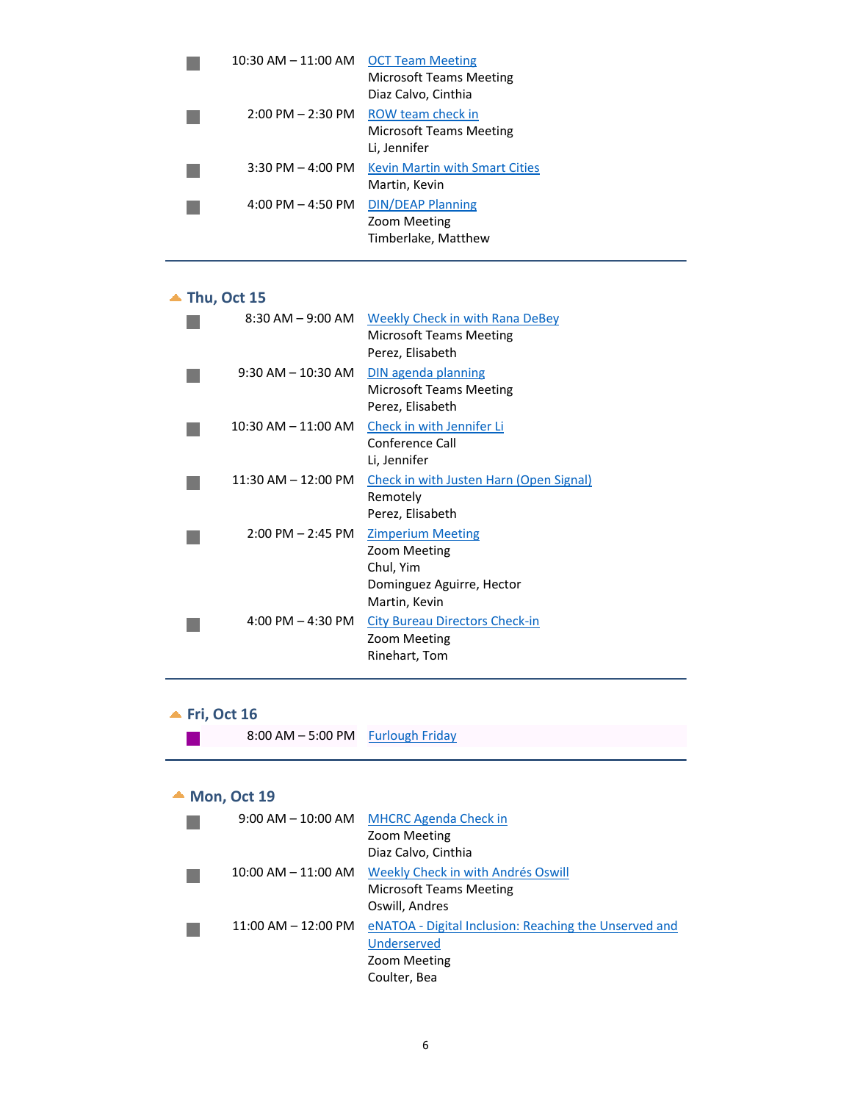| 10:30 AM $-$ 11:00 AM OCT Team Meeting | <b>Microsoft Teams Meeting</b><br>Diaz Calvo, Cinthia               |
|----------------------------------------|---------------------------------------------------------------------|
| $2:00 \text{ PM} - 2:30 \text{ PM}$    | ROW team check in<br><b>Microsoft Teams Meeting</b><br>Li, Jennifer |
| $3:30$ PM $-$ 4:00 PM                  | <b>Kevin Martin with Smart Cities</b><br>Martin, Kevin              |
| $4:00$ PM $- 4:50$ PM                  | <b>DIN/DEAP Planning</b><br>Zoom Meeting<br>Timberlake, Matthew     |

### **Thu, Oct 15**

| $8:30$ AM $-9:00$ AM    | <b>Weekly Check in with Rana DeBey</b><br><b>Microsoft Teams Meeting</b><br>Perez, Elisabeth        |
|-------------------------|-----------------------------------------------------------------------------------------------------|
| $9:30$ AM $-$ 10:30 AM  | DIN agenda planning<br><b>Microsoft Teams Meeting</b><br>Perez, Elisabeth                           |
| $10:30$ AM $- 11:00$ AM | Check in with Jennifer Li<br>Conference Call<br>Li, Jennifer                                        |
| $11:30$ AM $-12:00$ PM  | <b>Check in with Justen Harn (Open Signal)</b><br>Remotely<br>Perez, Elisabeth                      |
| $2:00$ PM $- 2:45$ PM   | <b>Zimperium Meeting</b><br>Zoom Meeting<br>Chul, Yim<br>Dominguez Aguirre, Hector<br>Martin, Kevin |
| $4:00$ PM $- 4:30$ PM   | <b>City Bureau Directors Check-in</b><br>Zoom Meeting<br>Rinehart, Tom                              |

# **Fri, Oct 16**

| 8:00 AM - 5:00 PM Furlough Friday |  |
|-----------------------------------|--|
|                                   |  |

## **Mon, Oct 19**

| $9:00 \,\mathrm{AM}$ $ 10:00 \,\mathrm{AM}$ | <b>MHCRC Agenda Check in</b>                          |
|---------------------------------------------|-------------------------------------------------------|
|                                             | Zoom Meeting                                          |
|                                             | Diaz Calvo, Cinthia                                   |
| $10:00$ AM $- 11:00$ AM                     | Weekly Check in with Andrés Oswill                    |
|                                             | Microsoft Teams Meeting                               |
|                                             | Oswill, Andres                                        |
| $11:00$ AM $- 12:00$ PM                     | eNATOA - Digital Inclusion: Reaching the Unserved and |
|                                             | Underserved                                           |
|                                             | Zoom Meeting                                          |
|                                             | Coulter, Bea                                          |
|                                             |                                                       |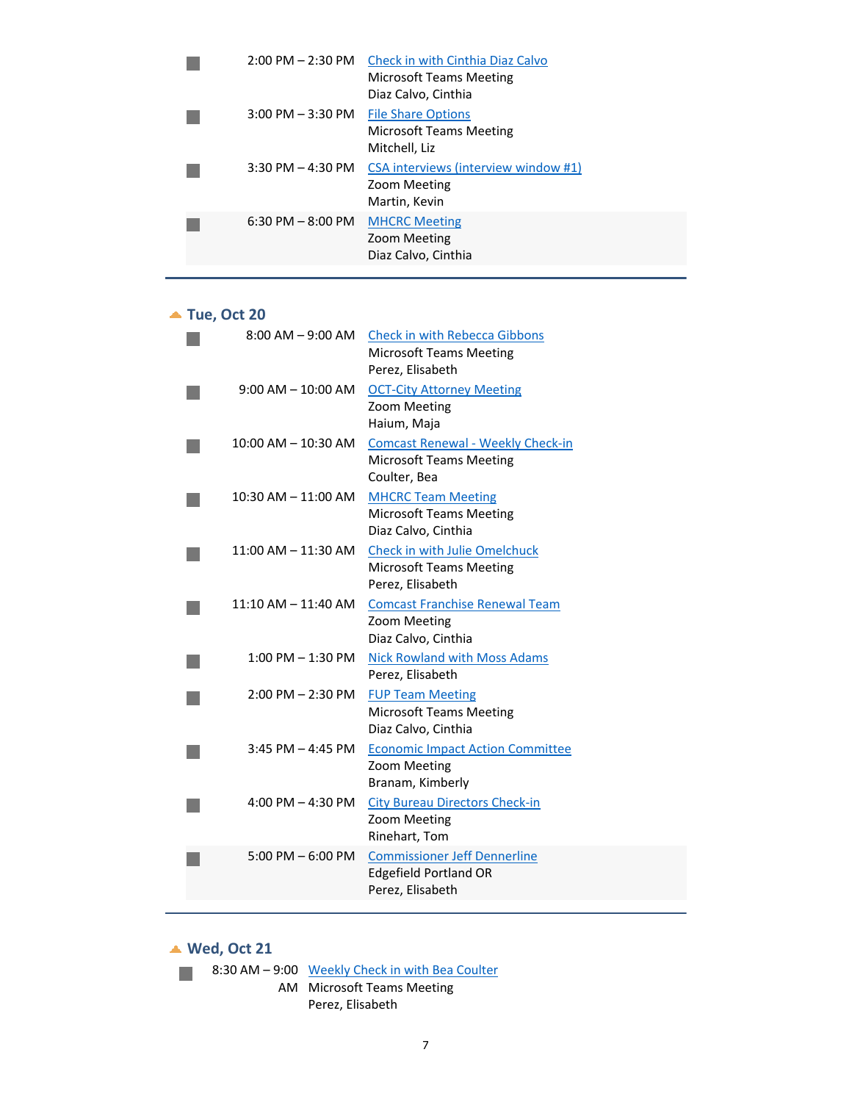| $2:00$ PM $- 2:30$ PM | Check in with Cinthia Diaz Calvo<br>Microsoft Teams Meeting<br>Diaz Calvo, Cinthia |
|-----------------------|------------------------------------------------------------------------------------|
| $3:00$ PM $-3:30$ PM  | <b>File Share Options</b><br>Microsoft Teams Meeting<br>Mitchell, Liz              |
| $3:30$ PM $-$ 4:30 PM | CSA interviews (interview window #1)<br>Zoom Meeting<br>Martin, Kevin              |
| $6:30$ PM $- 8:00$ PM | <b>MHCRC Meeting</b><br>Zoom Meeting<br>Diaz Calvo, Cinthia                        |

# **Tue, Oct 20**

| $8:00$ AM $-9:00$ AM    | <b>Check in with Rebecca Gibbons</b><br><b>Microsoft Teams Meeting</b><br>Perez, Elisabeth |
|-------------------------|--------------------------------------------------------------------------------------------|
| $9:00$ AM $- 10:00$ AM  | <b>OCT-City Attorney Meeting</b><br>Zoom Meeting<br>Haium, Maja                            |
| $10:00$ AM $- 10:30$ AM | <b>Comcast Renewal - Weekly Check-in</b><br><b>Microsoft Teams Meeting</b><br>Coulter, Bea |
| 10:30 AM - 11:00 AM     | <b>MHCRC Team Meeting</b><br><b>Microsoft Teams Meeting</b><br>Diaz Calvo, Cinthia         |
| $11:00$ AM $- 11:30$ AM | Check in with Julie Omelchuck<br><b>Microsoft Teams Meeting</b><br>Perez, Elisabeth        |
| $11:10$ AM $- 11:40$ AM | <b>Comcast Franchise Renewal Team</b><br>Zoom Meeting<br>Diaz Calvo, Cinthia               |
| $1:00$ PM $-1:30$ PM    | <b>Nick Rowland with Moss Adams</b><br>Perez, Elisabeth                                    |
| $2:00$ PM $- 2:30$ PM   | <b>FUP Team Meeting</b><br><b>Microsoft Teams Meeting</b><br>Diaz Calvo, Cinthia           |
| $3:45$ PM $-$ 4:45 PM   | <b>Economic Impact Action Committee</b><br>Zoom Meeting<br>Branam, Kimberly                |
| 4:00 PM $-$ 4:30 PM     | <b>City Bureau Directors Check-in</b><br>Zoom Meeting<br>Rinehart, Tom                     |
| $5:00$ PM $-6:00$ PM    | <b>Commissioner Jeff Dennerline</b><br><b>Edgefield Portland OR</b><br>Perez, Elisabeth    |
|                         |                                                                                            |

**Wed, Oct 21** 8:30 AM – 9:00 Weekly Check in with Bea Coulter AM Microsoft Teams Meeting

Perez, Elisabeth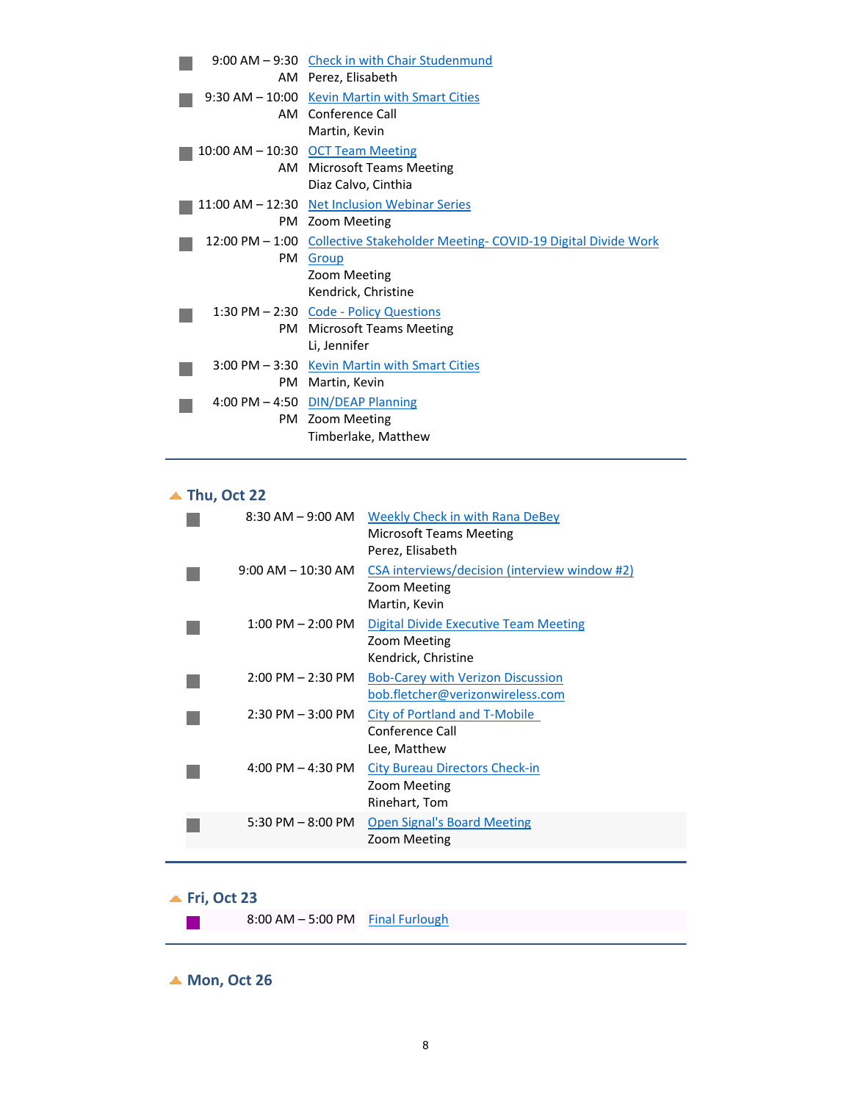|     | 9:00 AM - 9:30 Check in with Chair Studenmund                                |
|-----|------------------------------------------------------------------------------|
|     | AM Perez, Elisabeth                                                          |
|     | 9:30 AM - 10:00 Kevin Martin with Smart Cities                               |
|     | AM Conference Call                                                           |
|     | Martin, Kevin                                                                |
|     | 10:00 AM - 10:30 OCT Team Meeting                                            |
|     | AM Microsoft Teams Meeting                                                   |
|     | Diaz Calvo, Cinthia                                                          |
|     | 11:00 AM - 12:30 Net Inclusion Webinar Series                                |
|     | PM Zoom Meeting                                                              |
|     | 12:00 PM – 1:00 Collective Stakeholder Meeting- COVID-19 Digital Divide Work |
|     |                                                                              |
| PM  | Group                                                                        |
|     | Zoom Meeting                                                                 |
|     | Kendrick, Christine                                                          |
|     | 1:30 PM - 2:30 Code - Policy Questions                                       |
| PM. | Microsoft Teams Meeting                                                      |
|     | Li, Jennifer                                                                 |
|     | 3:00 PM - 3:30 Kevin Martin with Smart Cities                                |
| PM. | Martin, Kevin                                                                |
|     | 4:00 PM $-$ 4:50 DIN/DEAP Planning                                           |
|     | PM Zoom Meeting                                                              |

# **Thu, Oct 22**

| $8:30$ AM $-9:00$ AM   | Weekly Check in with Rana DeBey<br>Microsoft Teams Meeting<br>Perez, Elisabeth      |
|------------------------|-------------------------------------------------------------------------------------|
| $9:00$ AM $-$ 10:30 AM | CSA interviews/decision (interview window #2)<br>Zoom Meeting<br>Martin, Kevin      |
| $1:00$ PM $- 2:00$ PM  | <b>Digital Divide Executive Team Meeting</b><br>Zoom Meeting<br>Kendrick, Christine |
| $2:00$ PM $- 2:30$ PM  | <b>Bob-Carey with Verizon Discussion</b><br>bob.fletcher@verizonwireless.com        |
| $2:30$ PM $-3:00$ PM   | City of Portland and T-Mobile<br>Conference Call<br>Lee, Matthew                    |
| $4:00$ PM $- 4:30$ PM  | <b>City Bureau Directors Check-in</b><br>Zoom Meeting<br>Rinehart, Tom              |
| 5:30 PM $-$ 8:00 PM    | <b>Open Signal's Board Meeting</b><br>Zoom Meeting                                  |
|                        |                                                                                     |

## **Fri, Oct 23**

 $\mathcal{L}_{\mathcal{A}}$ 

 $8:00$  AM – 5:00 PM Final Furlough

**Mon, Oct 26**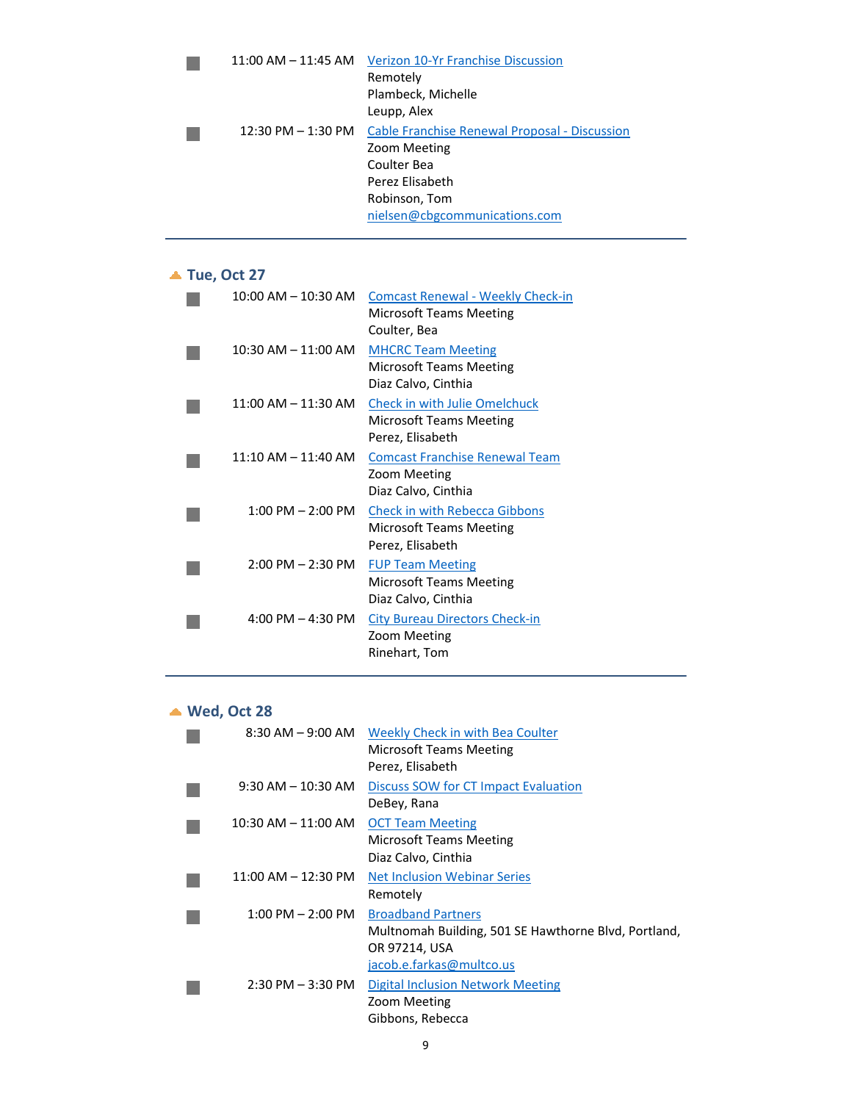|                        | 11:00 AM – 11:45 AM Verizon 10-Yr Franchise Discussion |
|------------------------|--------------------------------------------------------|
|                        | Remotely                                               |
|                        | Plambeck, Michelle                                     |
|                        | Leupp, Alex                                            |
| $12:30$ PM $- 1:30$ PM | Cable Franchise Renewal Proposal - Discussion          |
|                        | Zoom Meeting                                           |
|                        | Coulter Bea                                            |
|                        | Perez Elisabeth                                        |
|                        | Robinson, Tom                                          |
|                        | nielsen@cbgcommunications.com                          |
|                        |                                                        |

## **Tue, Oct 27**

| $10:00$ AM $- 10:30$ AM             | <b>Comcast Renewal - Weekly Check-in</b><br>Microsoft Teams Meeting<br>Coulter, Bea |
|-------------------------------------|-------------------------------------------------------------------------------------|
| $10:30$ AM $- 11:00$ AM             | <b>MHCRC Team Meeting</b><br>Microsoft Teams Meeting<br>Diaz Calvo, Cinthia         |
| $11:00$ AM $- 11:30$ AM             | <b>Check in with Julie Omelchuck</b><br>Microsoft Teams Meeting<br>Perez, Elisabeth |
| $11:10$ AM $- 11:40$ AM             | <b>Comcast Franchise Renewal Team</b><br>Zoom Meeting<br>Diaz Calvo, Cinthia        |
| $1:00$ PM $- 2:00$ PM               | <b>Check in with Rebecca Gibbons</b><br>Microsoft Teams Meeting<br>Perez, Elisabeth |
| $2:00$ PM $-2:30$ PM                | <b>FUP Team Meeting</b><br>Microsoft Teams Meeting<br>Diaz Calvo, Cinthia           |
| $4:00 \text{ PM} - 4:30 \text{ PM}$ | <b>City Bureau Directors Check-in</b><br>Zoom Meeting<br>Rinehart, Tom              |

### **Wed, Oct 28**

| $8:30$ AM $-9:00$ AM    | Weekly Check in with Bea Coulter<br><b>Microsoft Teams Meeting</b><br>Perez, Elisabeth                                         |
|-------------------------|--------------------------------------------------------------------------------------------------------------------------------|
| 9:30 AM – 10:30 AM      | Discuss SOW for CT Impact Evaluation<br>DeBey, Rana                                                                            |
| $10:30$ AM $- 11:00$ AM | <b>OCT Team Meeting</b><br><b>Microsoft Teams Meeting</b><br>Diaz Calvo, Cinthia                                               |
| $11:00$ AM $- 12:30$ PM | <b>Net Inclusion Webinar Series</b><br>Remotely                                                                                |
| $1:00$ PM $- 2:00$ PM   | <b>Broadband Partners</b><br>Multnomah Building, 501 SE Hawthorne Blvd, Portland,<br>OR 97214, USA<br>jacob.e.farkas@multco.us |
| $2:30$ PM $-3:30$ PM    | Digital Inclusion Network Meeting<br>Zoom Meeting<br>Gibbons, Rebecca                                                          |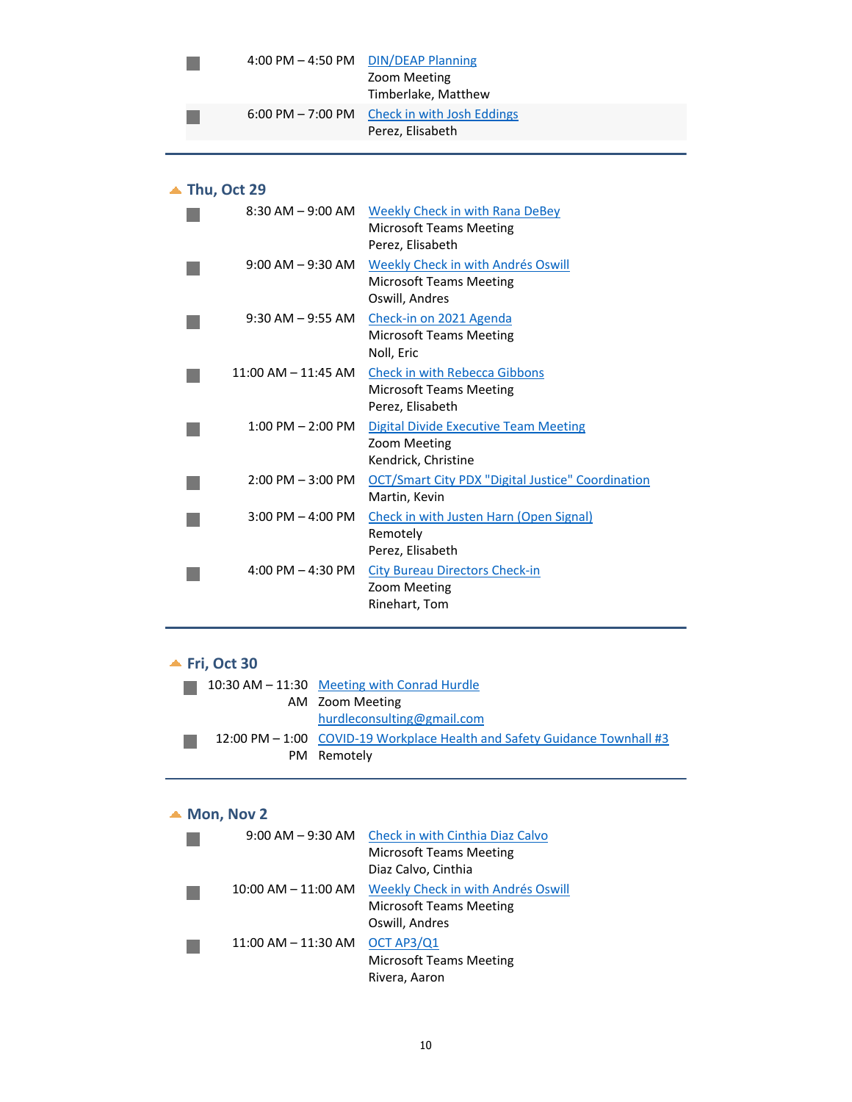| 4:00 PM - 4:50 PM DIN/DEAP Planning | Zoom Meeting<br>Timberlake, Matthew                                                |
|-------------------------------------|------------------------------------------------------------------------------------|
|                                     | $6:00 \text{ PM} - 7:00 \text{ PM}$ Check in with Josh Eddings<br>Perez, Elisabeth |

## **Thu, Oct 29**

| $8:30$ AM $-9:00$ AM                | <b>Weekly Check in with Rana DeBey</b><br><b>Microsoft Teams Meeting</b> |
|-------------------------------------|--------------------------------------------------------------------------|
|                                     | Perez, Elisabeth                                                         |
| $9:00$ AM $-9:30$ AM                | Weekly Check in with Andrés Oswill                                       |
|                                     | <b>Microsoft Teams Meeting</b>                                           |
|                                     | Oswill, Andres                                                           |
| $9:30$ AM $-9:55$ AM                | Check-in on 2021 Agenda                                                  |
|                                     | <b>Microsoft Teams Meeting</b>                                           |
|                                     | Noll, Eric                                                               |
| $11:00$ AM $- 11:45$ AM             | <b>Check in with Rebecca Gibbons</b>                                     |
|                                     | <b>Microsoft Teams Meeting</b>                                           |
|                                     | Perez, Elisabeth                                                         |
| $1:00$ PM $- 2:00$ PM               | <b>Digital Divide Executive Team Meeting</b>                             |
|                                     | Zoom Meeting                                                             |
|                                     | Kendrick, Christine                                                      |
| $2:00$ PM $-3:00$ PM                | <b>OCT/Smart City PDX "Digital Justice" Coordination</b>                 |
|                                     | Martin, Kevin                                                            |
| $3:00$ PM $-$ 4:00 PM               | <b>Check in with Justen Harn (Open Signal)</b>                           |
|                                     | Remotely                                                                 |
|                                     | Perez, Elisabeth                                                         |
| $4:00 \text{ PM} - 4:30 \text{ PM}$ | <b>City Bureau Directors Check-in</b>                                    |
|                                     | Zoom Meeting                                                             |
|                                     | Rinehart, Tom                                                            |
|                                     |                                                                          |

# **Fri, Oct 30**

|  | 10:30 AM $-$ 11:30 Meeting with Conrad Hurdle                             |
|--|---------------------------------------------------------------------------|
|  | AM Zoom Meeting                                                           |
|  | hurdleconsulting@gmail.com                                                |
|  | 12:00 PM – 1:00 COVID-19 Workplace Health and Safety Guidance Townhall #3 |
|  | PM Remotely                                                               |

# ▲ **Mon, Nov 2**

| $9:00$ AM $-9:30$ AM    | Check in with Cinthia Diaz Calvo   |
|-------------------------|------------------------------------|
|                         | <b>Microsoft Teams Meeting</b>     |
|                         | Diaz Calvo, Cinthia                |
| $10:00$ AM $- 11:00$ AM | Weekly Check in with Andrés Oswill |
|                         | <b>Microsoft Teams Meeting</b>     |
|                         | Oswill, Andres                     |
| $11:00$ AM $-11:30$ AM  | OCT AP3/Q1                         |
|                         | <b>Microsoft Teams Meeting</b>     |
|                         | Rivera, Aaron                      |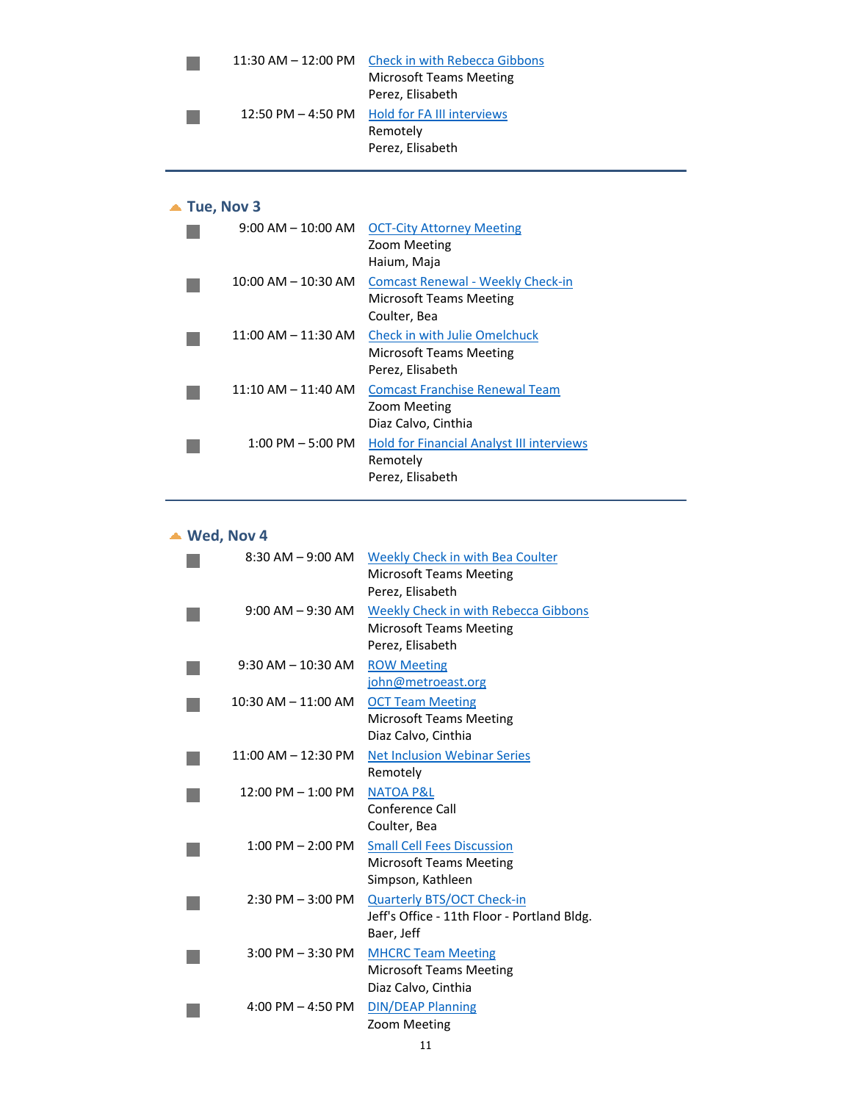| $11:30$ AM $- 12:00$ PM | <b>Check in with Rebecca Gibbons</b> |
|-------------------------|--------------------------------------|
|                         | <b>Microsoft Teams Meeting</b>       |
|                         | Perez, Elisabeth                     |
| $12:50$ PM $-$ 4:50 PM  | <b>Hold for FA III interviews</b>    |
|                         | Remotely                             |
|                         | Perez, Elisabeth                     |
|                         |                                      |

| Tue, Nov 3 |                                          |                                                                                     |
|------------|------------------------------------------|-------------------------------------------------------------------------------------|
|            | $9:00 \, \text{AM} - 10:00 \, \text{AM}$ | <b>OCT-City Attorney Meeting</b><br>Zoom Meeting<br>Haium, Maja                     |
|            | $10:00$ AM $- 10:30$ AM                  | <b>Comcast Renewal - Weekly Check-in</b><br>Microsoft Teams Meeting<br>Coulter, Bea |
|            | $11:00$ AM $- 11:30$ AM                  | <b>Check in with Julie Omelchuck</b><br>Microsoft Teams Meeting<br>Perez, Elisabeth |
|            | $11:10$ AM $- 11:40$ AM                  | <b>Comcast Franchise Renewal Team</b><br>Zoom Meeting<br>Diaz Calvo, Cinthia        |
|            | $1:00$ PM $-5:00$ PM                     | <b>Hold for Financial Analyst III interviews</b><br>Remotely<br>Perez, Elisabeth    |

### **Wed, Nov 4**

|                         | 8:30 AM - 9:00 AM Weekly Check in with Bea Coulter<br><b>Microsoft Teams Meeting</b><br>Perez, Elisabeth |
|-------------------------|----------------------------------------------------------------------------------------------------------|
| $9:00$ AM $-9:30$ AM    | <b>Weekly Check in with Rebecca Gibbons</b><br><b>Microsoft Teams Meeting</b><br>Perez, Elisabeth        |
| $9:30$ AM $-10:30$ AM   | <b>ROW Meeting</b><br>john@metroeast.org                                                                 |
| $10:30$ AM $- 11:00$ AM | <b>OCT Team Meeting</b><br><b>Microsoft Teams Meeting</b><br>Diaz Calvo, Cinthia                         |
| $11:00$ AM $- 12:30$ PM | <b>Net Inclusion Webinar Series</b><br>Remotely                                                          |
| $12:00$ PM $- 1:00$ PM  | <b>NATOA P&amp;L</b><br>Conference Call<br>Coulter, Bea                                                  |
| $1:00$ PM $- 2:00$ PM   | <b>Small Cell Fees Discussion</b><br><b>Microsoft Teams Meeting</b><br>Simpson, Kathleen                 |
| $2:30$ PM $-3:00$ PM    | <b>Quarterly BTS/OCT Check-in</b><br>Jeff's Office - 11th Floor - Portland Bldg.<br>Baer, Jeff           |
| $3:00$ PM $-3:30$ PM    | <b>MHCRC Team Meeting</b><br><b>Microsoft Teams Meeting</b><br>Diaz Calvo, Cinthia                       |
| $4:00$ PM $- 4:50$ PM   | <b>DIN/DEAP Planning</b><br>Zoom Meeting                                                                 |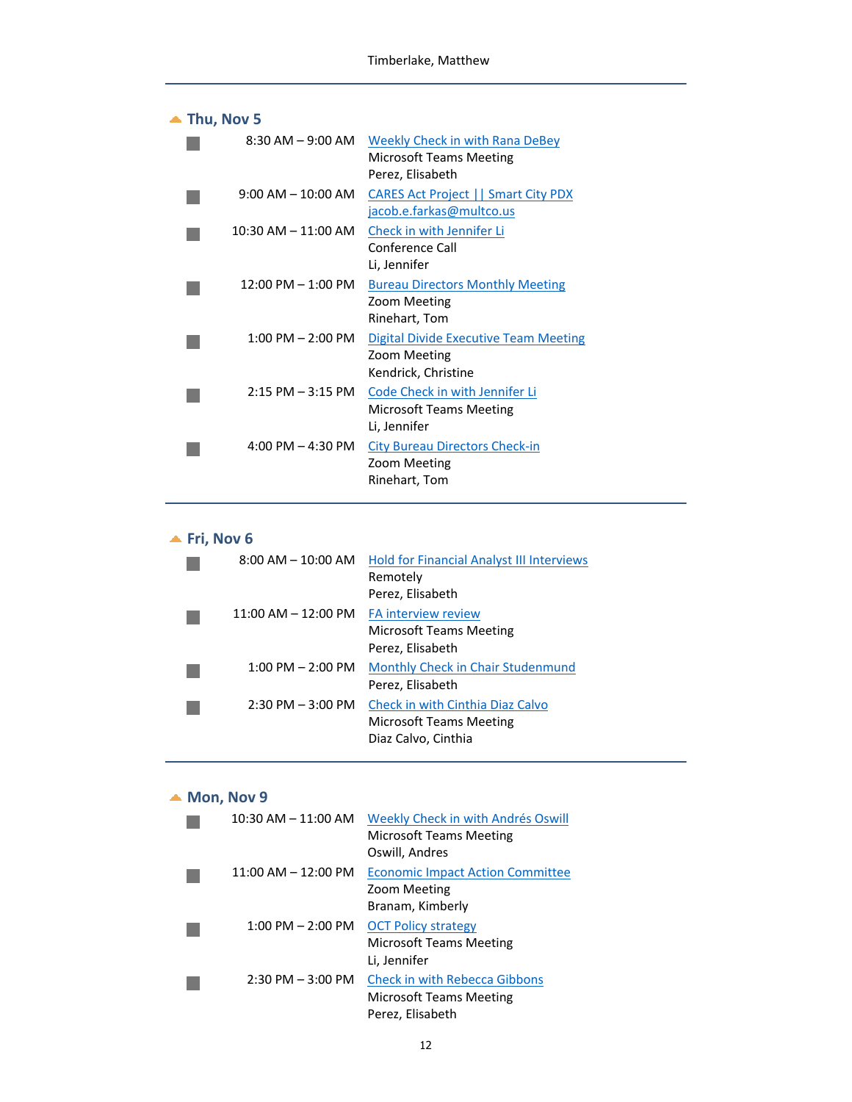| Thu, Nov 5                           |                                                                                                         |  |  |
|--------------------------------------|---------------------------------------------------------------------------------------------------------|--|--|
|                                      | 8:30 AM – 9:00 AM Weekly Check in with Rana DeBey<br><b>Microsoft Teams Meeting</b><br>Perez, Elisabeth |  |  |
| $9:00 \text{ AM} - 10:00 \text{ AM}$ | <b>CARES Act Project   Smart City PDX</b><br>jacob.e.farkas@multco.us                                   |  |  |
| $10:30$ AM $-$ 11:00 AM              | Check in with Jennifer Li<br>Conference Call<br>Li, Jennifer                                            |  |  |
| $12:00 \text{ PM} - 1:00 \text{ PM}$ | <b>Bureau Directors Monthly Meeting</b><br>Zoom Meeting<br>Rinehart, Tom                                |  |  |
| $1:00 \text{ PM} - 2:00 \text{ PM}$  | Digital Divide Executive Team Meeting<br>Zoom Meeting<br>Kendrick, Christine                            |  |  |
| $2:15$ PM $-3:15$ PM                 | Code Check in with Jennifer Li<br><b>Microsoft Teams Meeting</b><br>Li, Jennifer                        |  |  |
| $4:00 \text{ PM} - 4:30 \text{ PM}$  | <b>City Bureau Directors Check-in</b><br>Zoom Meeting<br>Rinehart, Tom                                  |  |  |

# **Fri, Nov 6**

| $8:00$ AM $-$ 10:00 AM              | <b>Hold for Financial Analyst III Interviews</b><br>Remotely<br>Perez, Elisabeth          |
|-------------------------------------|-------------------------------------------------------------------------------------------|
| $11:00$ AM $- 12:00$ PM             | <b>FA interview review</b><br><b>Microsoft Teams Meeting</b><br>Perez, Elisabeth          |
| $1:00 \text{ PM} - 2:00 \text{ PM}$ | Monthly Check in Chair Studenmund<br>Perez, Elisabeth                                     |
| $2:30$ PM $-3:00$ PM                | Check in with Cinthia Diaz Calvo<br><b>Microsoft Teams Meeting</b><br>Diaz Calvo, Cinthia |

#### ▲ **Mon, Nov 9**

| $10:30$ AM $- 11:00$ AM | Weekly Check in with Andrés Oswill<br><b>Microsoft Teams Meeting</b><br>Oswill, Andres     |
|-------------------------|--------------------------------------------------------------------------------------------|
| $11:00$ AM $- 12:00$ PM | <b>Economic Impact Action Committee</b><br>Zoom Meeting<br>Branam, Kimberly                |
| $1:00$ PM $- 2:00$ PM   | <b>OCT Policy strategy</b><br><b>Microsoft Teams Meeting</b><br>Li, Jennifer               |
| $2:30$ PM $-3:00$ PM    | <b>Check in with Rebecca Gibbons</b><br><b>Microsoft Teams Meeting</b><br>Perez, Elisabeth |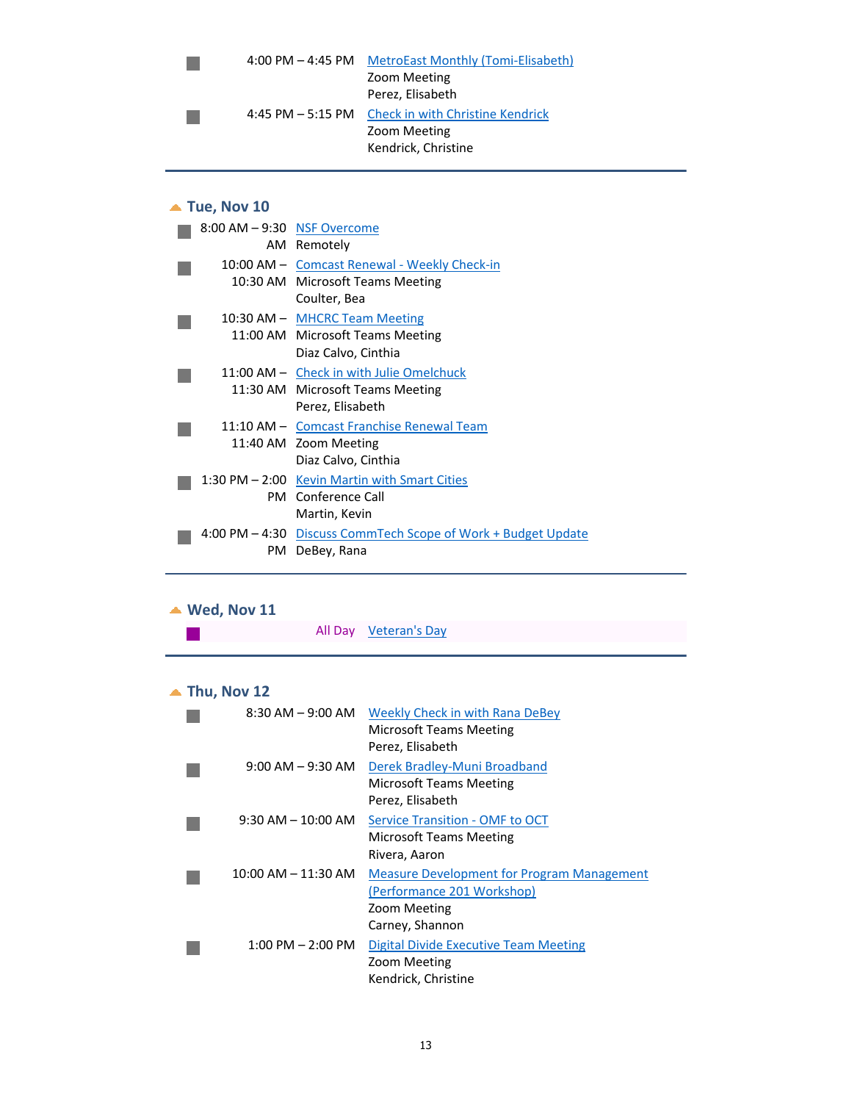| $4:00$ PM $- 4:45$ PM | MetroEast Monthly (Tomi-Elisabeth) |
|-----------------------|------------------------------------|
|                       | Zoom Meeting                       |
|                       | Perez, Elisabeth                   |
| 4:45 PM $-$ 5:15 PM   | Check in with Christine Kendrick   |
|                       | Zoom Meeting                       |
|                       | Kendrick, Christine                |
|                       |                                    |

### **Tue, Nov 10**

| $8:00$ AM $-9:30$ NSF Overcome | AM Remotely                                                   |
|--------------------------------|---------------------------------------------------------------|
|                                | 10:00 AM - Comcast Renewal - Weekly Check-in                  |
|                                | 10:30 AM Microsoft Teams Meeting                              |
|                                | Coulter, Bea                                                  |
|                                | 10:30 AM - MHCRC Team Meeting                                 |
|                                | 11:00 AM Microsoft Teams Meeting                              |
|                                | Diaz Calvo, Cinthia                                           |
|                                | 11:00 AM – Check in with Julie Omelchuck                      |
|                                | 11:30 AM Microsoft Teams Meeting                              |
|                                | Perez, Elisabeth                                              |
|                                | 11:10 AM - Comcast Franchise Renewal Team                     |
|                                | 11:40 AM Zoom Meeting                                         |
|                                | Diaz Calvo, Cinthia                                           |
|                                | 1:30 PM - 2:00 Kevin Martin with Smart Cities                 |
|                                | <b>PM</b> Conference Call                                     |
|                                | Martin, Kevin                                                 |
|                                | 4:00 PM - 4:30 Discuss CommTech Scope of Work + Budget Update |
| PM.                            | DeBey, Rana                                                   |

# **Wed, Nov 11**

|  | All Day Veteran's Day |  |
|--|-----------------------|--|
|  |                       |  |

# **Thu, Nov 12**

| $8:30$ AM $-9:00$ AM    | Weekly Check in with Rana DeBey<br>Microsoft Teams Meeting<br>Perez, Elisabeth                                     |
|-------------------------|--------------------------------------------------------------------------------------------------------------------|
| $9:00$ AM $-9:30$ AM    | Derek Bradley-Muni Broadband<br>Microsoft Teams Meeting<br>Perez, Elisabeth                                        |
| $9:30$ AM $- 10:00$ AM  | Service Transition - OMF to OCT<br>Microsoft Teams Meeting<br>Rivera, Aaron                                        |
| $10:00$ AM $- 11:30$ AM | <b>Measure Development for Program Management</b><br>(Performance 201 Workshop)<br>Zoom Meeting<br>Carney, Shannon |
| $1:00$ PM $- 2:00$ PM   | Digital Divide Executive Team Meeting<br>Zoom Meeting<br>Kendrick, Christine                                       |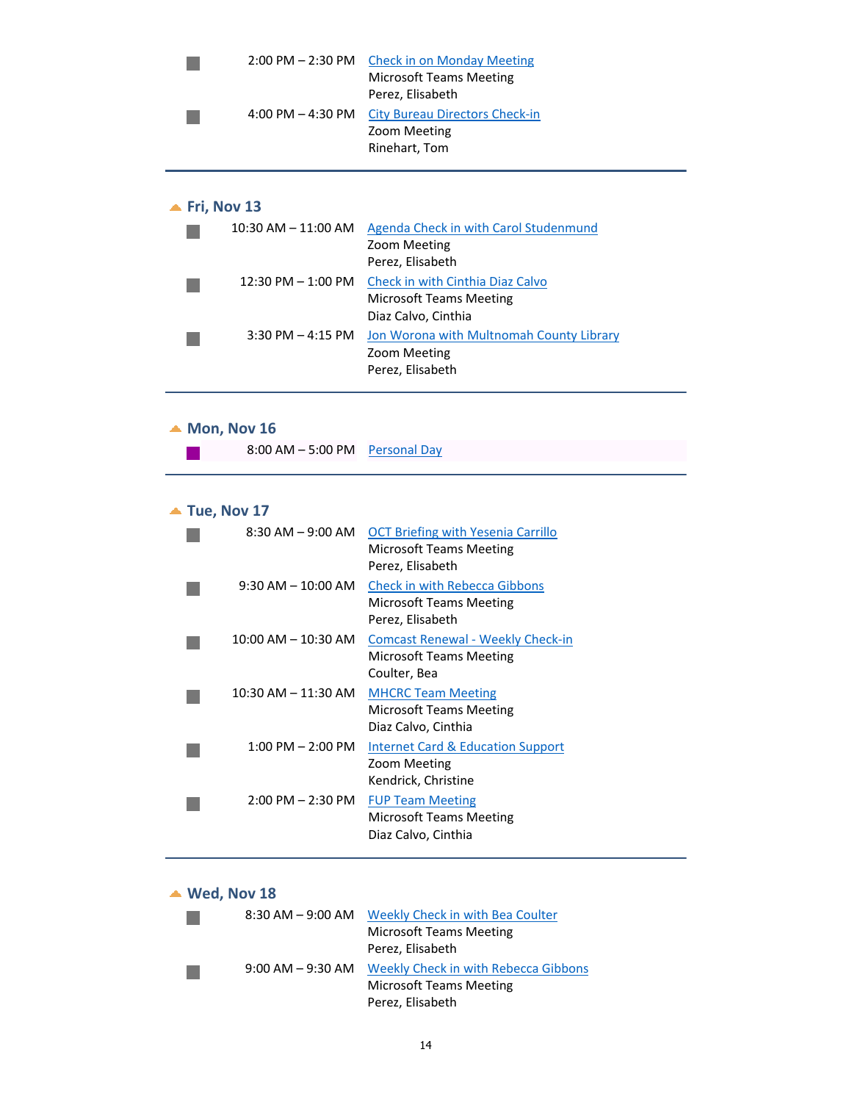|                         | 4:00 PM $-$ 4:30 PM     | 2:00 PM - 2:30 PM Check in on Monday Meeting<br><b>Microsoft Teams Meeting</b><br>Perez, Elisabeth<br>City Bureau Directors Check-in<br>Zoom Meeting<br>Rinehart, Tom |
|-------------------------|-------------------------|-----------------------------------------------------------------------------------------------------------------------------------------------------------------------|
| $\triangle$ Fri, Nov 13 | $10:30$ AM $- 11:00$ AM | Agenda Check in with Carol Studenmund<br>Zoom Meeting                                                                                                                 |

|                       | Perez, Elisabeth                         |
|-----------------------|------------------------------------------|
| $12:30$ PM $-1:00$ PM | Check in with Cinthia Diaz Calvo         |
|                       | <b>Microsoft Teams Meeting</b>           |
|                       | Diaz Calvo, Cinthia                      |
| $3:30$ PM $-$ 4:15 PM | Jon Worona with Multnomah County Library |
|                       | Zoom Meeting                             |
|                       | Perez, Elisabeth                         |

## ▲ **Mon, Nov** 16

÷

| 8:00 AM - 5:00 PM Personal Day |  |
|--------------------------------|--|
|                                |  |

## ▲ **Tue, Nov** 17

| $8:30$ AM $-9:00$ AM    | <b>OCT Briefing with Yesenia Carrillo</b><br><b>Microsoft Teams Meeting</b><br>Perez, Elisabeth |
|-------------------------|-------------------------------------------------------------------------------------------------|
| $9:30$ AM $- 10:00$ AM  | <b>Check in with Rebecca Gibbons</b><br>Microsoft Teams Meeting<br>Perez, Elisabeth             |
| $10:00$ AM $- 10:30$ AM | <b>Comcast Renewal - Weekly Check-in</b><br>Microsoft Teams Meeting<br>Coulter, Bea             |
| $10:30$ AM $- 11:30$ AM | <b>MHCRC Team Meeting</b><br>Microsoft Teams Meeting<br>Diaz Calvo, Cinthia                     |
| $1:00$ PM $- 2:00$ PM   | <b>Internet Card &amp; Education Support</b><br>Zoom Meeting<br>Kendrick, Christine             |
| $2:00$ PM $- 2:30$ PM   | <b>FUP Team Meeting</b><br>Microsoft Teams Meeting<br>Diaz Calvo, Cinthia                       |

# **Wed, Nov 18**

| $8:30$ AM $-9:00$ AM | Weekly Check in with Bea Coulter     |
|----------------------|--------------------------------------|
|                      | <b>Microsoft Teams Meeting</b>       |
|                      | Perez, Elisabeth                     |
| $9:00$ AM $-9:30$ AM | Weekly Check in with Rebecca Gibbons |
|                      | <b>Microsoft Teams Meeting</b>       |
|                      | Perez, Elisabeth                     |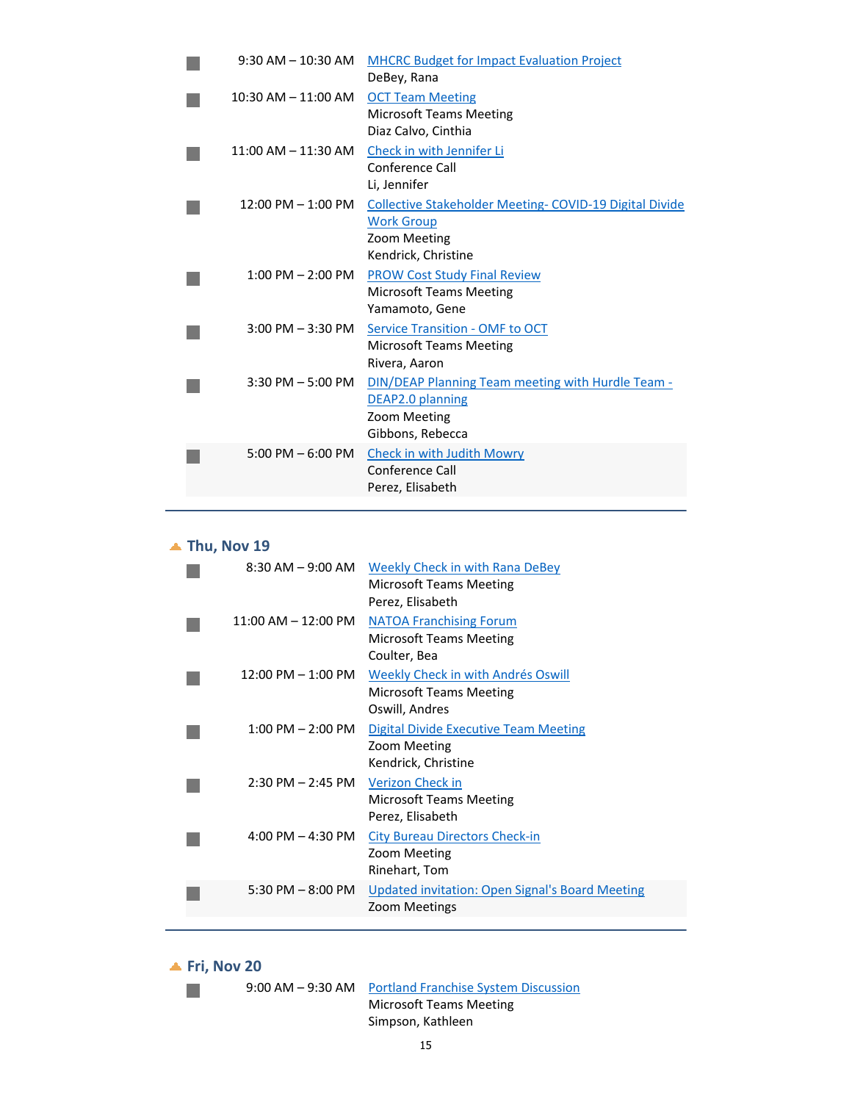| $9:30$ AM $- 10:30$ AM  | <b>MHCRC Budget for Impact Evaluation Project</b><br>DeBey, Rana                                                   |
|-------------------------|--------------------------------------------------------------------------------------------------------------------|
| $10:30$ AM $- 11:00$ AM | <b>OCT Team Meeting</b><br><b>Microsoft Teams Meeting</b><br>Diaz Calvo, Cinthia                                   |
| $11:00$ AM $- 11:30$ AM | Check in with Jennifer Li<br>Conference Call<br>Li, Jennifer                                                       |
| $12:00$ PM $- 1:00$ PM  | Collective Stakeholder Meeting-COVID-19 Digital Divide<br><b>Work Group</b><br>Zoom Meeting<br>Kendrick, Christine |
| $1:00$ PM $- 2:00$ PM   | <b>PROW Cost Study Final Review</b><br><b>Microsoft Teams Meeting</b><br>Yamamoto, Gene                            |
| $3:00$ PM $-3:30$ PM    | <b>Service Transition - OMF to OCT</b><br><b>Microsoft Teams Meeting</b><br>Rivera, Aaron                          |
| $3:30$ PM $-5:00$ PM    | DIN/DEAP Planning Team meeting with Hurdle Team -<br>DEAP2.0 planning<br>Zoom Meeting<br>Gibbons, Rebecca          |
| 5:00 PM $-$ 6:00 PM     | Check in with Judith Mowry<br>Conference Call<br>Perez, Elisabeth                                                  |
|                         |                                                                                                                    |

# ▲ **Thu, Nov** 19

| $8:30$ AM $-9:00$ AM                 | Weekly Check in with Rana DeBey<br><b>Microsoft Teams Meeting</b><br>Perez, Elisabeth  |
|--------------------------------------|----------------------------------------------------------------------------------------|
| $11:00$ AM $- 12:00$ PM              | <b>NATOA Franchising Forum</b><br><b>Microsoft Teams Meeting</b><br>Coulter, Bea       |
| $12:00 \text{ PM} - 1:00 \text{ PM}$ | Weekly Check in with Andrés Oswill<br><b>Microsoft Teams Meeting</b><br>Oswill, Andres |
| $1:00$ PM $- 2:00$ PM                | Digital Divide Executive Team Meeting<br>Zoom Meeting<br>Kendrick, Christine           |
| $2:30$ PM $- 2:45$ PM                | Verizon Check in<br><b>Microsoft Teams Meeting</b><br>Perez, Elisabeth                 |
| $4:00 \text{ PM} - 4:30 \text{ PM}$  | <b>City Bureau Directors Check-in</b><br>Zoom Meeting<br>Rinehart, Tom                 |
| 5:30 PM $-$ 8:00 PM                  | <b>Updated invitation: Open Signal's Board Meeting</b><br>Zoom Meetings                |
|                                      |                                                                                        |

**Fri, Nov 20**

P.

9:00 AM – 9:30 AM Portland Franchise System Discussion

Microsoft Teams Meeting Simpson, Kathleen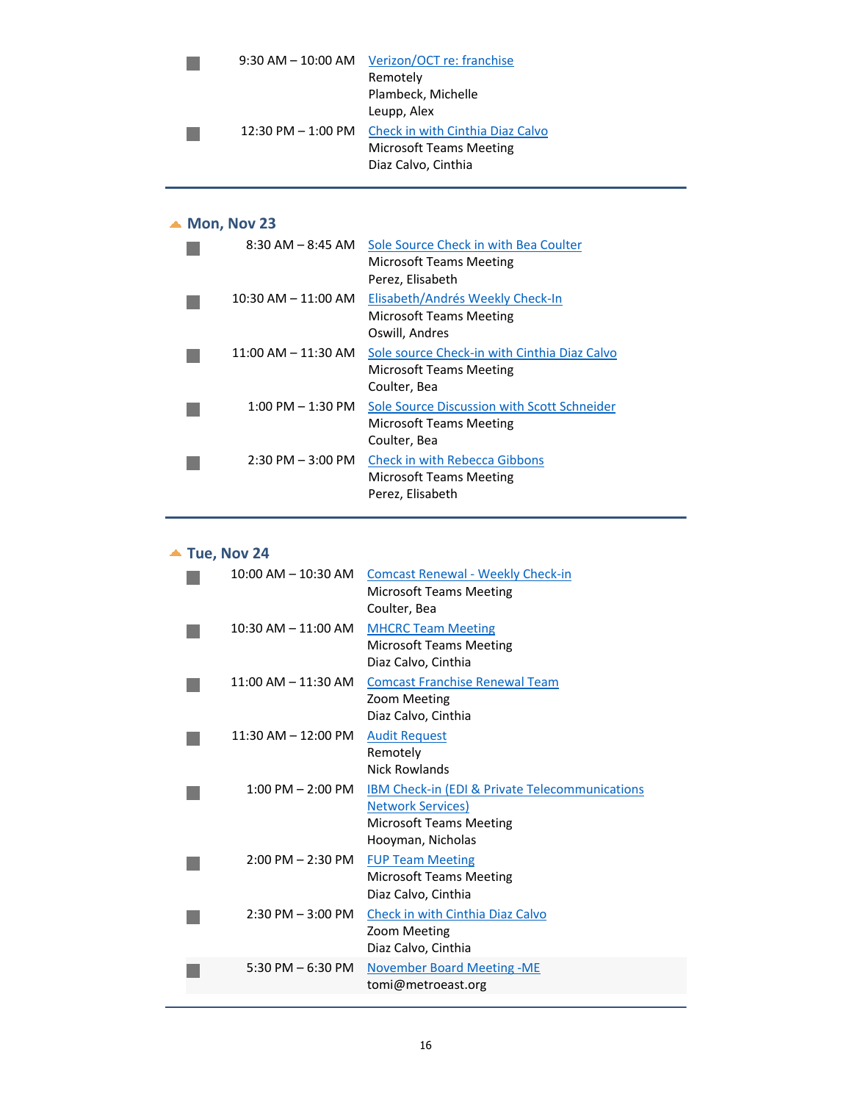| $9:30$ AM $-$ 10:00 AM | Verizon/OCT re: franchise        |
|------------------------|----------------------------------|
|                        | Remotely                         |
|                        | Plambeck, Michelle               |
|                        | Leupp, Alex                      |
| $12:30$ PM $- 1:00$ PM | Check in with Cinthia Diaz Calvo |
|                        | <b>Microsoft Teams Meeting</b>   |
|                        | Diaz Calvo, Cinthia              |
|                        |                                  |

# ▲ **Mon, Nov** 23

| $8:30$ AM $ 8:45$ AM    | Sole Source Check in with Bea Coulter<br>Microsoft Teams Meeting<br>Perez, Elisabeth           |
|-------------------------|------------------------------------------------------------------------------------------------|
| $10:30$ AM $- 11:00$ AM | Elisabeth/Andrés Weekly Check-In<br>Microsoft Teams Meeting<br>Oswill, Andres                  |
| $11:00$ AM $- 11:30$ AM | Sole source Check-in with Cinthia Diaz Calvo<br><b>Microsoft Teams Meeting</b><br>Coulter, Bea |
| $1:00$ PM $-1:30$ PM    | Sole Source Discussion with Scott Schneider<br>Microsoft Teams Meeting<br>Coulter, Bea         |
| $2:30$ PM $-3:00$ PM    | <b>Check in with Rebecca Gibbons</b><br><b>Microsoft Teams Meeting</b><br>Perez, Elisabeth     |

## **Tue, Nov 24**

| $10:00$ AM $- 10:30$ AM             | <b>Comcast Renewal - Weekly Check-in</b><br><b>Microsoft Teams Meeting</b>                                                                    |
|-------------------------------------|-----------------------------------------------------------------------------------------------------------------------------------------------|
| $10:30$ AM $- 11:00$ AM             | Coulter, Bea<br><b>MHCRC Team Meeting</b><br><b>Microsoft Teams Meeting</b><br>Diaz Calvo, Cinthia                                            |
| $11:00$ AM $- 11:30$ AM             | <b>Comcast Franchise Renewal Team</b><br>Zoom Meeting<br>Diaz Calvo, Cinthia                                                                  |
| $11:30$ AM $-12:00$ PM              | <b>Audit Request</b><br>Remotely<br><b>Nick Rowlands</b>                                                                                      |
| $1:00$ PM $- 2:00$ PM               | <b>IBM Check-in (EDI &amp; Private Telecommunications)</b><br><b>Network Services)</b><br><b>Microsoft Teams Meeting</b><br>Hooyman, Nicholas |
| $2:00 \text{ PM} - 2:30 \text{ PM}$ | <b>FUP Team Meeting</b><br><b>Microsoft Teams Meeting</b><br>Diaz Calvo, Cinthia                                                              |
| $2:30$ PM $-3:00$ PM                | Check in with Cinthia Diaz Calvo<br>Zoom Meeting<br>Diaz Calvo, Cinthia                                                                       |
| 5:30 PM $-$ 6:30 PM                 | <b>November Board Meeting -ME</b><br>tomi@metroeast.org                                                                                       |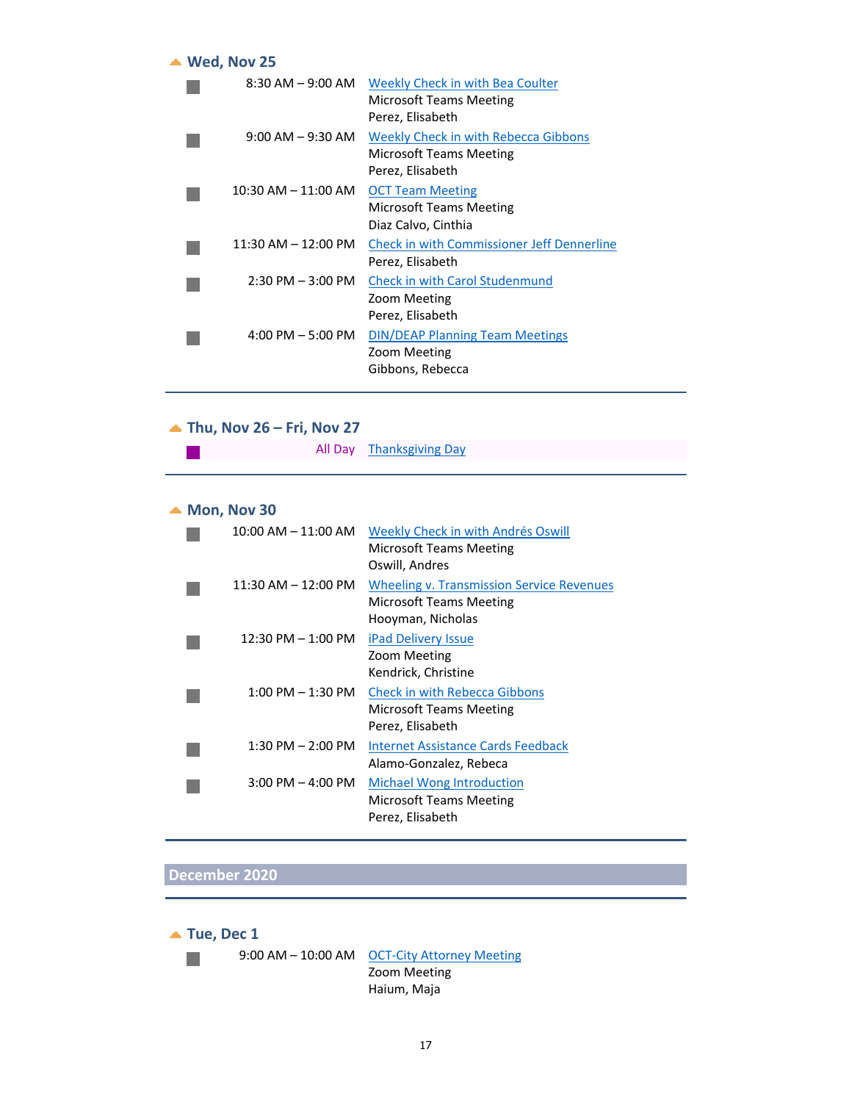| $\triangle$ Wed, Nov 25 |                                                                                     |
|-------------------------|-------------------------------------------------------------------------------------|
| $8:30$ AM $-9:00$ AM    | Weekly Check in with Bea Coulter<br>Microsoft Teams Meeting<br>Perez, Elisabeth     |
| $9:00$ AM $-9:30$ AM    | Weekly Check in with Rebecca Gibbons<br>Microsoft Teams Meeting<br>Perez, Elisabeth |
| $10:30$ AM $- 11:00$ AM | <b>OCT Team Meeting</b><br>Microsoft Teams Meeting<br>Diaz Calvo, Cinthia           |
| $11:30$ AM $- 12:00$ PM | <b>Check in with Commissioner Jeff Dennerline</b><br>Perez, Elisabeth               |
| $2:30$ PM $-3:00$ PM    | Check in with Carol Studenmund<br>Zoom Meeting<br>Perez, Elisabeth                  |
| $4:00$ PM $-5:00$ PM    | <b>DIN/DEAP Planning Team Meetings</b><br>Zoom Meeting<br>Gibbons, Rebecca          |

## **Thu, Nov 26 – Fri, Nov 27**

| All Day Thanksgiving Day |  |
|--------------------------|--|
|--------------------------|--|

## ▲ **Mon, Nov** 30

 $\mathcal{L}^{\text{max}}$ 

| 10:00 AM – 11:00 AM     | Weekly Check in with Andrés Oswill<br><b>Microsoft Teams Meeting</b><br>Oswill, Andres           |
|-------------------------|--------------------------------------------------------------------------------------------------|
| $11:30$ AM $- 12:00$ PM | <b>Wheeling v. Transmission Service Revenues</b><br>Microsoft Teams Meeting<br>Hooyman, Nicholas |
| $12:30$ PM $- 1:00$ PM  | <b>iPad Delivery Issue</b><br>Zoom Meeting<br>Kendrick, Christine                                |
| $1:00$ PM $-1:30$ PM    | <b>Check in with Rebecca Gibbons</b><br><b>Microsoft Teams Meeting</b><br>Perez, Elisabeth       |
| $1:30$ PM $- 2:00$ PM   | Internet Assistance Cards Feedback<br>Alamo-Gonzalez, Rebeca                                     |
| $3:00$ PM $-$ 4:00 PM   | <b>Michael Wong Introduction</b><br>Microsoft Teams Meeting<br>Perez, Elisabeth                  |

## **December 2020**



9:00 AM – 10:00 AM OCT-City Attorney Meeting Zoom Meeting Haium, Maja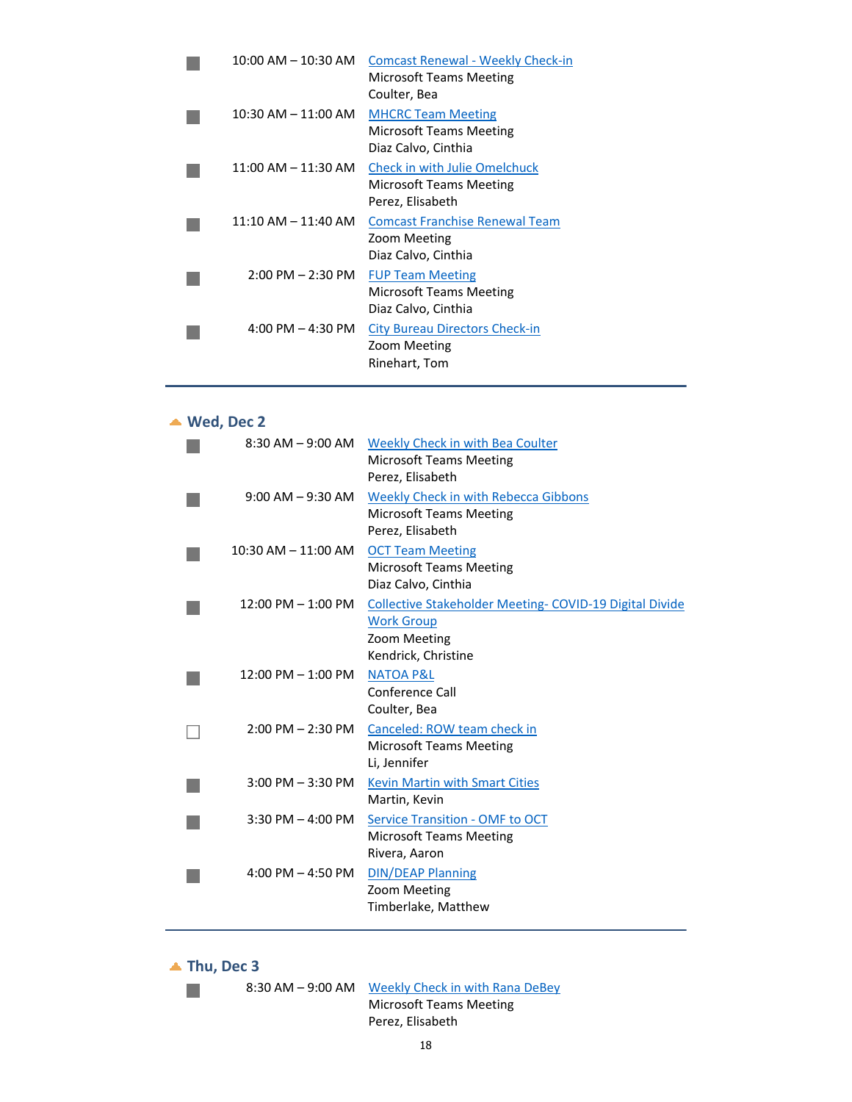| $10:00$ AM $- 10:30$ AM | <b>Comcast Renewal - Weekly Check-in</b><br>Microsoft Teams Meeting<br>Coulter, Bea |
|-------------------------|-------------------------------------------------------------------------------------|
| $10:30$ AM $- 11:00$ AM | <b>MHCRC Team Meeting</b><br>Microsoft Teams Meeting<br>Diaz Calvo, Cinthia         |
| $11:00$ AM $- 11:30$ AM | <b>Check in with Julie Omelchuck</b><br>Microsoft Teams Meeting<br>Perez, Elisabeth |
| $11:10$ AM $- 11:40$ AM | <b>Comcast Franchise Renewal Team</b><br>Zoom Meeting<br>Diaz Calvo, Cinthia        |
| $2:00$ PM $- 2:30$ PM   | <b>FUP Team Meeting</b><br><b>Microsoft Teams Meeting</b><br>Diaz Calvo, Cinthia    |
| 4:00 PM $-$ 4:30 PM     | <b>City Bureau Directors Check-in</b><br>Zoom Meeting<br>Rinehart, Tom              |

## **Wed, Dec 2**

|                         | 8:30 AM - 9:00 AM Weekly Check in with Bea Coulter<br><b>Microsoft Teams Meeting</b><br>Perez, Elisabeth                   |
|-------------------------|----------------------------------------------------------------------------------------------------------------------------|
| $9:00$ AM $-9:30$ AM    | Weekly Check in with Rebecca Gibbons<br><b>Microsoft Teams Meeting</b><br>Perez, Elisabeth                                 |
| $10:30$ AM $- 11:00$ AM | <b>OCT Team Meeting</b><br><b>Microsoft Teams Meeting</b><br>Diaz Calvo, Cinthia                                           |
| $12:00$ PM $-1:00$ PM   | <b>Collective Stakeholder Meeting- COVID-19 Digital Divide</b><br><b>Work Group</b><br>Zoom Meeting<br>Kendrick, Christine |
| $12:00$ PM $-1:00$ PM   | <b>NATOA P&amp;L</b><br>Conference Call<br>Coulter, Bea                                                                    |
|                         | 2:00 PM - 2:30 PM Canceled: ROW team check in<br><b>Microsoft Teams Meeting</b><br>Li, Jennifer                            |
| $3:00$ PM $-3:30$ PM    | <b>Kevin Martin with Smart Cities</b><br>Martin, Kevin                                                                     |
| $3:30$ PM $-$ 4:00 PM   | <b>Service Transition - OMF to OCT</b><br><b>Microsoft Teams Meeting</b><br>Rivera, Aaron                                  |
| 4:00 PM $-$ 4:50 PM     | <b>DIN/DEAP Planning</b><br>Zoom Meeting<br>Timberlake, Matthew                                                            |

**Thu, Dec 3**

P.

8:30 AM – 9:00 AM Weekly Check in with Rana DeBey Microsoft Teams Meeting

Perez, Elisabeth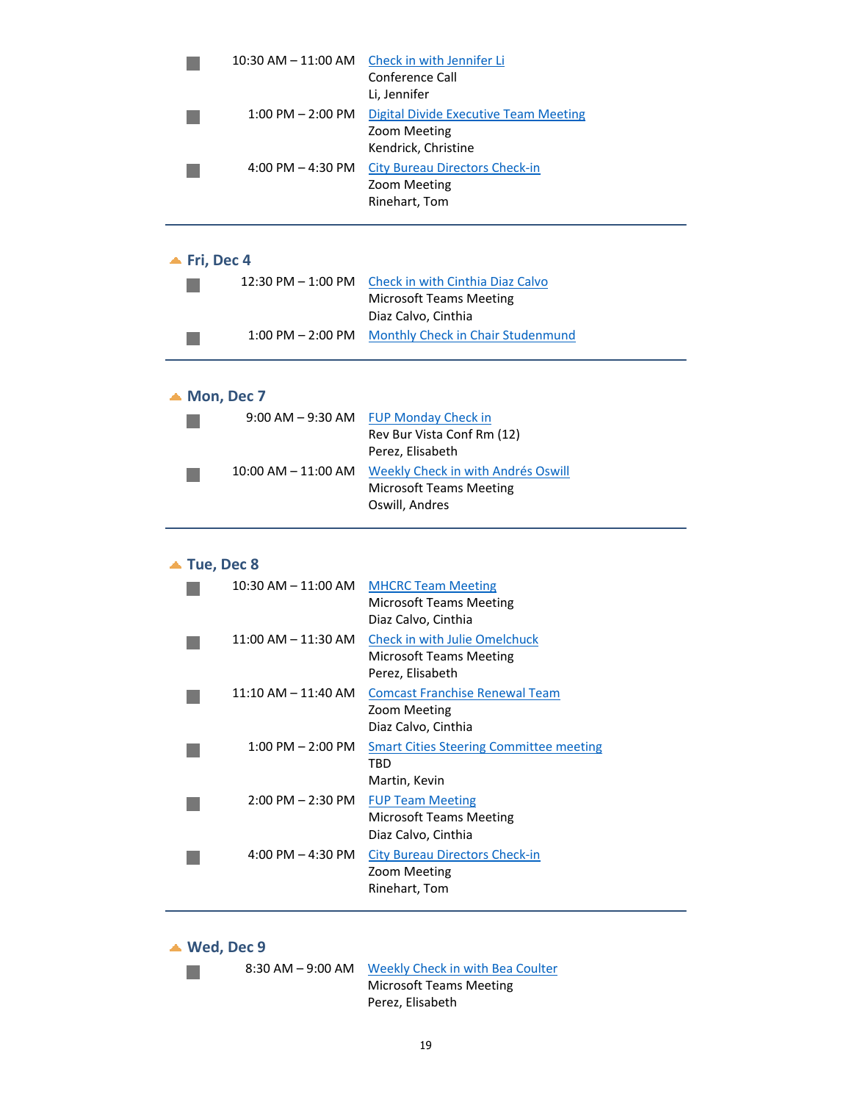|                             | $10:30$ AM $- 11:00$ AM | Check in with Jennifer Li<br>Conference Call     |
|-----------------------------|-------------------------|--------------------------------------------------|
|                             |                         | Li, Jennifer                                     |
|                             | $1:00$ PM $- 2:00$ PM   | <b>Digital Divide Executive Team Meeting</b>     |
|                             |                         | Zoom Meeting                                     |
|                             |                         | Kendrick, Christine                              |
|                             | 4:00 PM $-$ 4:30 PM     | <b>City Bureau Directors Check-in</b>            |
|                             |                         | Zoom Meeting<br>Rinehart, Tom                    |
|                             |                         |                                                  |
|                             |                         |                                                  |
| $\blacktriangle$ Fri, Dec 4 |                         |                                                  |
|                             | 12:30 PM – 1:00 PM      | Check in with Cinthia Diaz Calvo                 |
|                             |                         | <b>Microsoft Teams Meeting</b>                   |
|                             |                         | Diaz Calvo, Cinthia                              |
|                             | $1:00$ PM $- 2:00$ PM   | <b>Monthly Check in Chair Studenmund</b>         |
|                             |                         |                                                  |
|                             |                         |                                                  |
|                             | $\triangle$ Mon, Dec 7  |                                                  |
|                             |                         | 9:00 AM - 9:30 AM FUP Monday Check in            |
|                             |                         | Rev Bur Vista Conf Rm (12)                       |
|                             |                         | Perez, Elisabeth                                 |
|                             | 10:00 AM – 11:00 AM     | <b>Weekly Check in with Andrés Oswill</b>        |
|                             |                         | <b>Microsoft Teams Meeting</b><br>Oswill, Andres |
|                             |                         |                                                  |
|                             |                         |                                                  |
|                             | $\triangle$ Tue, Dec 8  |                                                  |
|                             |                         | 10:30 AM - 11:00 AM MHCRC Team Meeting           |
|                             |                         | <b>Microsoft Teams Meeting</b>                   |
|                             |                         | Diaz Calvo, Cinthia                              |
|                             | $11:00$ AM $- 11:30$ AM | <b>Check in with Julie Omelchuck</b>             |
|                             |                         | <b>Microsoft Teams Meeting</b>                   |
|                             |                         | Perez, Elisabeth                                 |
|                             | 11:10 AM - 11:40 AM     | <b>Comcast Franchise Renewal Team</b>            |
|                             |                         | Zoom Meeting<br>Diaz Calvo, Cinthia              |
|                             | $1:00$ PM $- 2:00$ PM   | <b>Smart Cities Steering Committee meeting</b>   |
|                             |                         | TBD                                              |
|                             |                         | Martin, Kevin                                    |
|                             | $2:00$ PM $- 2:30$ PM   | <b>FUP Team Meeting</b>                          |
|                             |                         | <b>Microsoft Teams Meeting</b>                   |
|                             |                         | Diaz Calvo, Cinthia                              |
|                             | 4:00 PM $-$ 4:30 PM     | <b>City Bureau Directors Check-in</b>            |
|                             |                         | Zoom Meeting                                     |
|                             |                         | Rinehart, Tom                                    |
|                             |                         |                                                  |

**Wed, Dec 9**

 $\mathbb{R}^n$ 

8:30 AM – 9:00 AM Weekly Check in with Bea Coulter Microsoft Teams Meeting

Perez, Elisabeth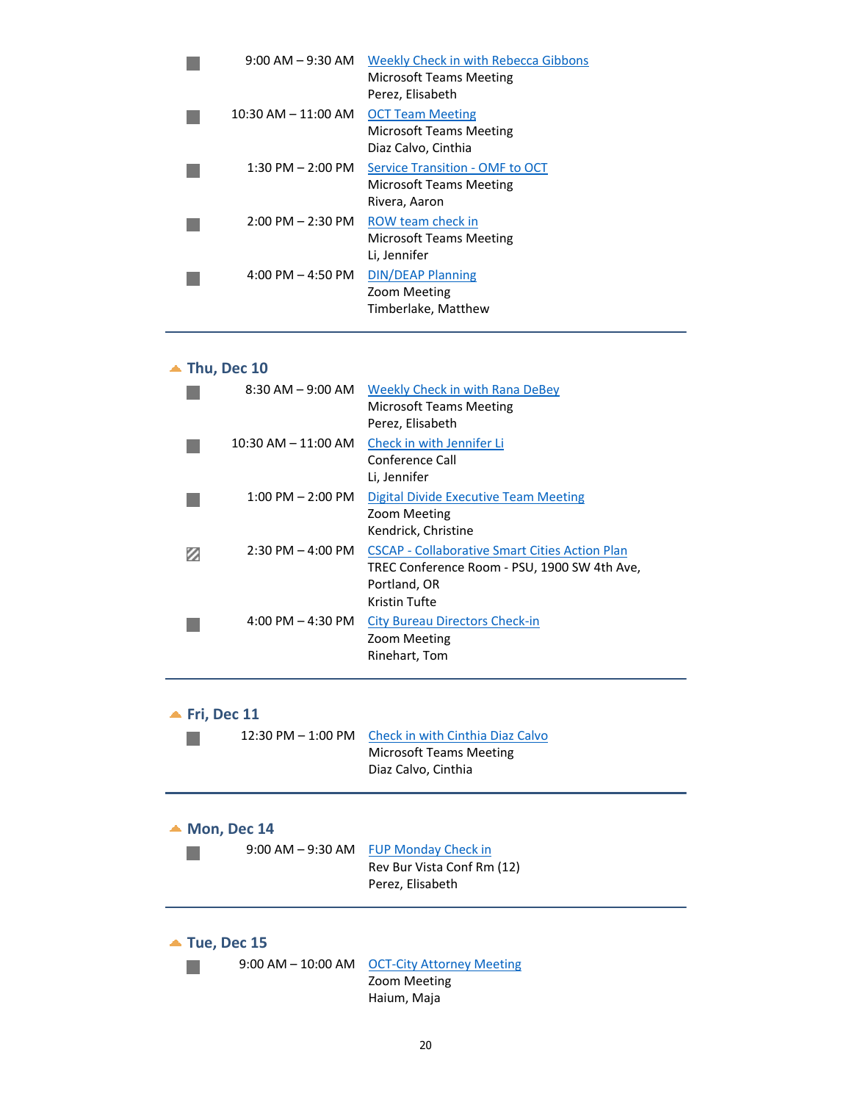| $9:00$ AM $-9:30$ AM  | Weekly Check in with Rebecca Gibbons<br><b>Microsoft Teams Meeting</b><br>Perez, Elisabeth |
|-----------------------|--------------------------------------------------------------------------------------------|
| 10:30 AM - 11:00 AM   | <b>OCT Team Meeting</b><br><b>Microsoft Teams Meeting</b><br>Diaz Calvo, Cinthia           |
| $1:30$ PM $- 2:00$ PM | Service Transition - OMF to OCT<br><b>Microsoft Teams Meeting</b><br>Rivera, Aaron         |
| $2:00$ PM $- 2:30$ PM | ROW team check in<br><b>Microsoft Teams Meeting</b><br>Li, Jennifer                        |
| $4:00$ PM $- 4:50$ PM | <b>DIN/DEAP Planning</b><br>Zoom Meeting<br>Timberlake, Matthew                            |
|                       |                                                                                            |

## **Thu, Dec 10**

| $8:30$ AM $-9:00$ AM                | <b>Weekly Check in with Rana DeBey</b><br><b>Microsoft Teams Meeting</b><br>Perez, Elisabeth                                           |
|-------------------------------------|----------------------------------------------------------------------------------------------------------------------------------------|
| $10:30$ AM $- 11:00$ AM             | Check in with Jennifer Li<br>Conference Call<br>Li, Jennifer                                                                           |
| $1:00$ PM $- 2:00$ PM               | Digital Divide Executive Team Meeting<br>Zoom Meeting<br>Kendrick, Christine                                                           |
| $2:30$ PM $-$ 4:00 PM               | <b>CSCAP - Collaborative Smart Cities Action Plan</b><br>TREC Conference Room - PSU, 1900 SW 4th Ave,<br>Portland, OR<br>Kristin Tufte |
| $4:00 \text{ PM} - 4:30 \text{ PM}$ | <b>City Bureau Directors Check-in</b><br>Zoom Meeting<br>Rinehart, Tom                                                                 |

**Fri, Dec 11**

|                         | 12:30 PM – 1:00 PM     | Check in with Cinthia Diaz Calvo<br><b>Microsoft Teams Meeting</b><br>Diaz Calvo, Cinthia |
|-------------------------|------------------------|-------------------------------------------------------------------------------------------|
| $\triangle$ Mon, Dec 14 |                        | 9:00 AM - 9:30 AM FUP Monday Check in<br>Rev Bur Vista Conf Rm (12)<br>Perez, Elisabeth   |
| $\triangle$ Tue, Dec 15 | $9:00$ AM $-$ 10:00 AM | <b>OCT-City Attorney Meeting</b><br>Zoom Meeting                                          |

Haium, Maja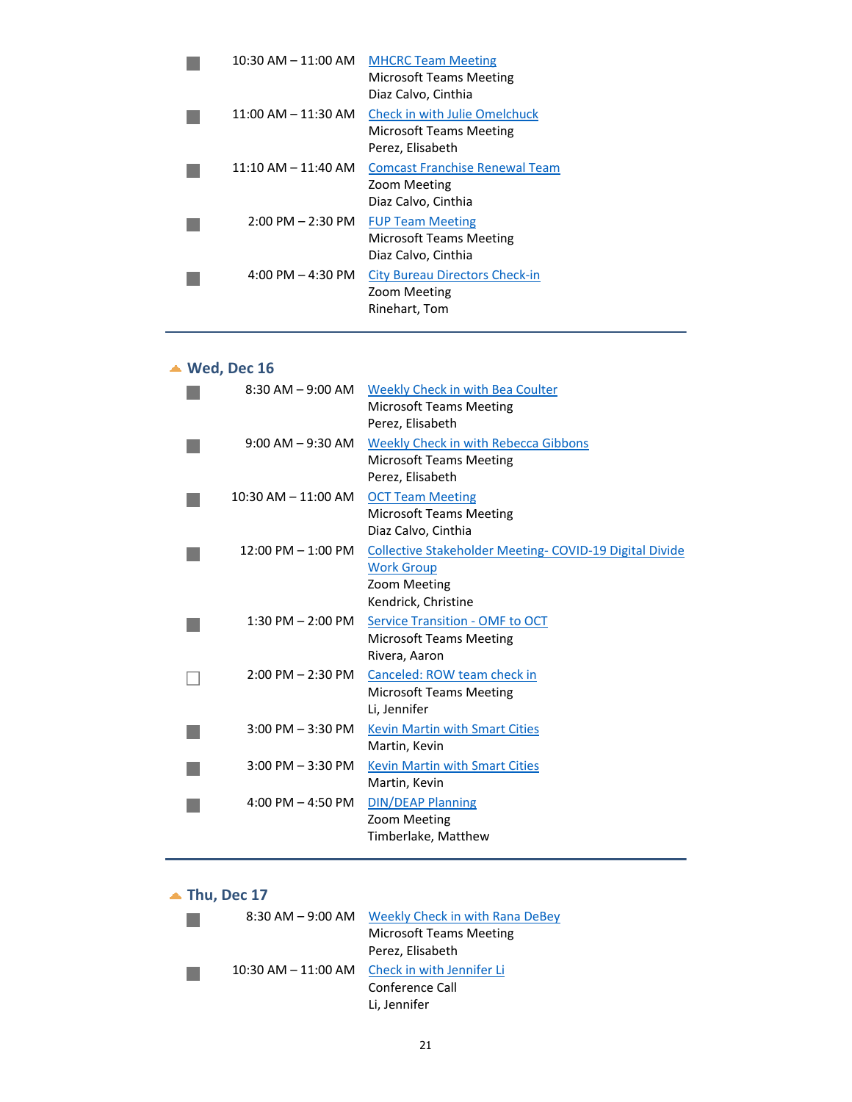| $10:30$ AM $- 11:00$ AM             | <b>MHCRC Team Meeting</b><br>Microsoft Teams Meeting<br>Diaz Calvo, Cinthia  |
|-------------------------------------|------------------------------------------------------------------------------|
| $11:00$ AM $- 11:30$ AM             | Check in with Julie Omelchuck<br>Microsoft Teams Meeting<br>Perez, Elisabeth |
| $11:10$ AM $- 11:40$ AM             | <b>Comcast Franchise Renewal Team</b><br>Zoom Meeting<br>Diaz Calvo, Cinthia |
| $2:00$ PM $- 2:30$ PM               | <b>FUP Team Meeting</b><br>Microsoft Teams Meeting<br>Diaz Calvo, Cinthia    |
| $4:00 \text{ PM} - 4:30 \text{ PM}$ | <b>City Bureau Directors Check-in</b><br>Zoom Meeting<br>Rinehart, Tom       |

# **Wed, Dec 16**

| $8:30$ AM $-9:00$ AM    | Weekly Check in with Bea Coulter<br><b>Microsoft Teams Meeting</b><br>Perez, Elisabeth                                     |
|-------------------------|----------------------------------------------------------------------------------------------------------------------------|
| $9:00$ AM $-9:30$ AM    | <b>Weekly Check in with Rebecca Gibbons</b><br><b>Microsoft Teams Meeting</b><br>Perez, Elisabeth                          |
| $10:30$ AM $- 11:00$ AM | <b>OCT Team Meeting</b><br><b>Microsoft Teams Meeting</b><br>Diaz Calvo, Cinthia                                           |
| $12:00$ PM $- 1:00$ PM  | <b>Collective Stakeholder Meeting- COVID-19 Digital Divide</b><br><b>Work Group</b><br>Zoom Meeting<br>Kendrick, Christine |
| $1:30$ PM $- 2:00$ PM   | Service Transition - OMF to OCT<br><b>Microsoft Teams Meeting</b><br>Rivera, Aaron                                         |
| $2:00$ PM $- 2:30$ PM   | Canceled: ROW team check in<br><b>Microsoft Teams Meeting</b><br>Li, Jennifer                                              |
| $3:00$ PM $-3:30$ PM    | <b>Kevin Martin with Smart Cities</b><br>Martin, Kevin                                                                     |
| $3:00$ PM $-3:30$ PM    | <b>Kevin Martin with Smart Cities</b><br>Martin, Kevin                                                                     |
| 4:00 PM $-$ 4:50 PM     | <b>DIN/DEAP Planning</b><br>Zoom Meeting<br>Timberlake, Matthew                                                            |
|                         |                                                                                                                            |

# **Thu, Dec 17**

| $8:30$ AM $-9:00$ AM    | <b>Weekly Check in with Rana DeBey</b> |
|-------------------------|----------------------------------------|
|                         | <b>Microsoft Teams Meeting</b>         |
|                         | Perez, Elisabeth                       |
| $10:30$ AM $- 11:00$ AM | Check in with Jennifer Li              |
|                         | Conference Call                        |
|                         | Li, Jennifer                           |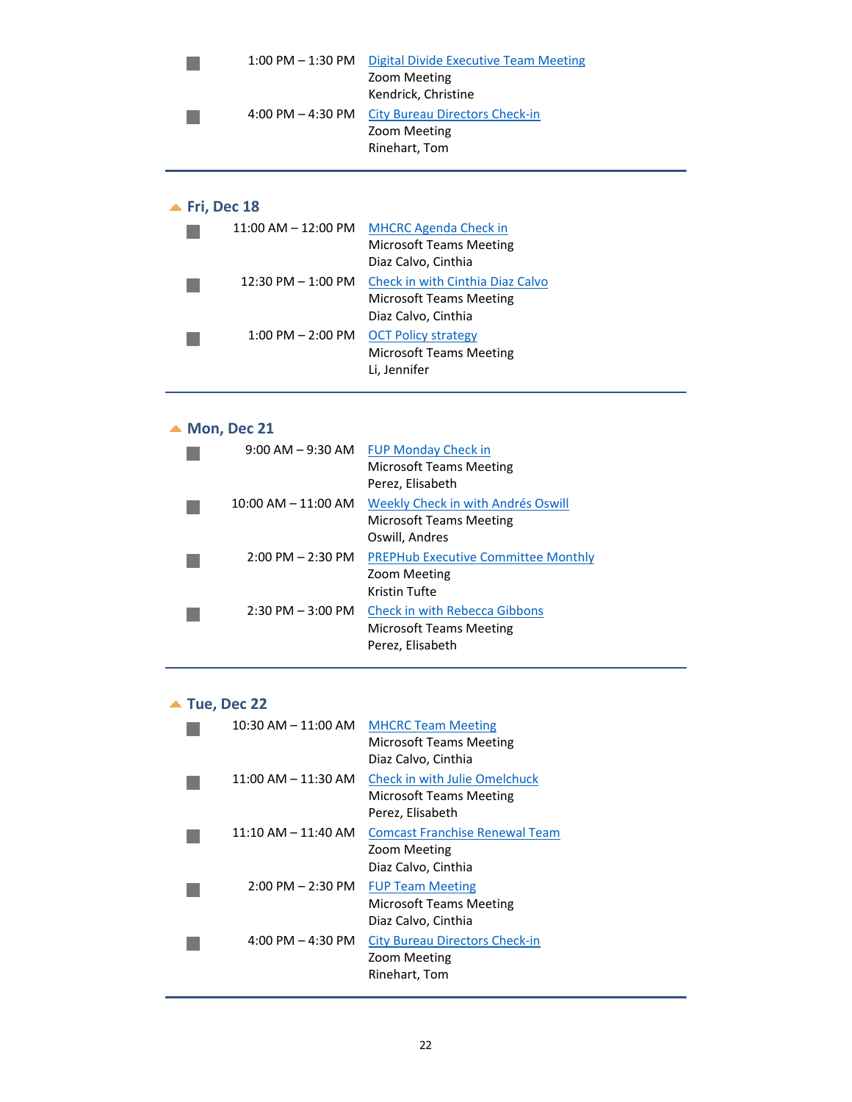|  | 1:00 PM - 1:30 PM Digital Divide Executive Team Meeting |
|--|---------------------------------------------------------|
|  | Zoom Meeting                                            |
|  | Kendrick, Christine                                     |
|  | 4:00 PM – 4:30 PM City Bureau Directors Check-in        |
|  | Zoom Meeting                                            |
|  | Rinehart, Tom                                           |
|  |                                                         |

### **Fri, Dec 18**

| $11:00$ AM $-12:00$ PM | <b>MHCRC Agenda Check in</b>     |
|------------------------|----------------------------------|
|                        | <b>Microsoft Teams Meeting</b>   |
|                        | Diaz Calvo, Cinthia              |
| $12:30$ PM $- 1:00$ PM | Check in with Cinthia Diaz Calvo |
|                        | <b>Microsoft Teams Meeting</b>   |
|                        | Diaz Calvo, Cinthia              |
| $1:00$ PM $- 2:00$ PM  | <b>OCT Policy strategy</b>       |
|                        | <b>Microsoft Teams Meeting</b>   |
|                        | Li, Jennifer                     |

## ▲ **Mon, Dec 21**

|                                     | 9:00 AM - 9:30 AM FUP Monday Check in<br>Microsoft Teams Meeting<br>Perez, Elisabeth |
|-------------------------------------|--------------------------------------------------------------------------------------|
| $10:00$ AM $- 11:00$ AM             | Weekly Check in with Andrés Oswill<br>Microsoft Teams Meeting<br>Oswill, Andres      |
| $2:00 \text{ PM} - 2:30 \text{ PM}$ | <b>PREPHub Executive Committee Monthly</b><br>Zoom Meeting<br>Kristin Tufte          |
| $2:30$ PM $-3:00$ PM                | <b>Check in with Rebecca Gibbons</b><br>Microsoft Teams Meeting<br>Perez, Elisabeth  |

### **Tue, Dec 22**

| $10:30$ AM $- 11:00$ AM | <b>MHCRC Team Meeting</b><br>Microsoft Teams Meeting<br>Diaz Calvo, Cinthia  |
|-------------------------|------------------------------------------------------------------------------|
| $11:00$ AM $- 11:30$ AM | Check in with Julie Omelchuck<br>Microsoft Teams Meeting<br>Perez, Elisabeth |
| $11:10$ AM $- 11:40$ AM | <b>Comcast Franchise Renewal Team</b><br>Zoom Meeting<br>Diaz Calvo, Cinthia |
| $2:00$ PM $- 2:30$ PM   | <b>FUP Team Meeting</b><br>Microsoft Teams Meeting<br>Diaz Calvo, Cinthia    |
| $4:00$ PM $- 4:30$ PM   | City Bureau Directors Check-in<br>Zoom Meeting<br>Rinehart, Tom              |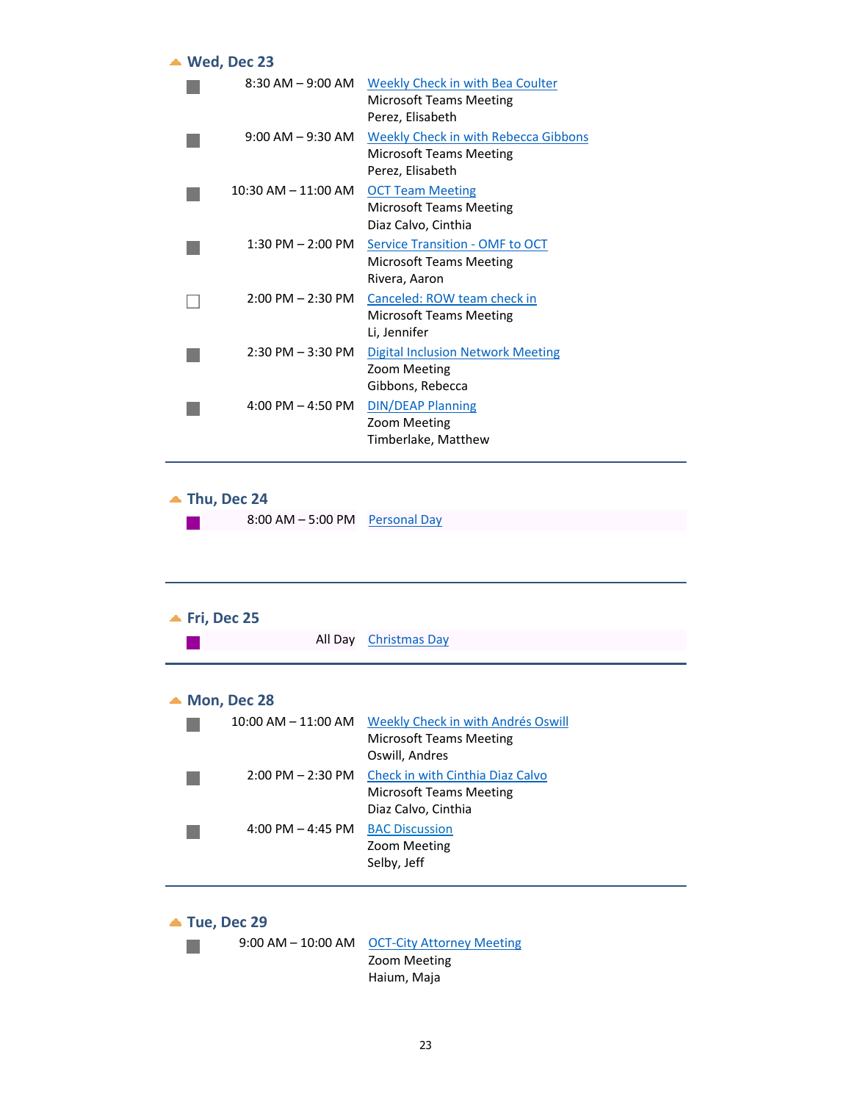| $\triangle$ Wed, Dec 23             |                                                                                            |
|-------------------------------------|--------------------------------------------------------------------------------------------|
| $8:30$ AM $-$ 9:00 AM               | Weekly Check in with Bea Coulter<br><b>Microsoft Teams Meeting</b><br>Perez, Elisabeth     |
| $9:00$ AM $-9:30$ AM                | Weekly Check in with Rebecca Gibbons<br><b>Microsoft Teams Meeting</b><br>Perez, Elisabeth |
| $10:30$ AM $- 11:00$ AM             | <b>OCT Team Meeting</b><br><b>Microsoft Teams Meeting</b><br>Diaz Calvo, Cinthia           |
| $1:30$ PM $- 2:00$ PM               | Service Transition - OMF to OCT<br>Microsoft Teams Meeting<br>Rivera, Aaron                |
| $2:00$ PM $- 2:30$ PM               | Canceled: ROW team check in<br><b>Microsoft Teams Meeting</b><br>Li, Jennifer              |
| $2:30$ PM $-3:30$ PM                | <b>Digital Inclusion Network Meeting</b><br>Zoom Meeting<br>Gibbons, Rebecca               |
| $4:00 \text{ PM} - 4:50 \text{ PM}$ | <b>DIN/DEAP Planning</b><br>Zoom Meeting<br>Timberlake, Matthew                            |

**Thu, Dec 24**

| $8:00$ AM $-5:00$ PM Personal Day |  |
|-----------------------------------|--|
|                                   |  |

| $\blacktriangle$ Fri, Dec 25 | All Day                 | <b>Christmas Day</b>                                                                      |
|------------------------------|-------------------------|-------------------------------------------------------------------------------------------|
| $\triangle$ Mon, Dec 28      |                         |                                                                                           |
|                              | $10:00$ AM $- 11:00$ AM | Weekly Check in with Andrés Oswill<br>Microsoft Teams Meeting<br>Oswill, Andres           |
|                              | $2:00$ PM $- 2:30$ PM   | Check in with Cinthia Diaz Calvo<br><b>Microsoft Teams Meeting</b><br>Diaz Calvo, Cinthia |
|                              | 4:00 PM $-$ 4:45 PM     | <b>BAC Discussion</b><br>Zoom Meeting<br>Selby, Jeff                                      |

**Tue, Dec 29**



9:00 AM – 10:00 AM OCT-City Attorney Meeting Zoom Meeting Haium, Maja